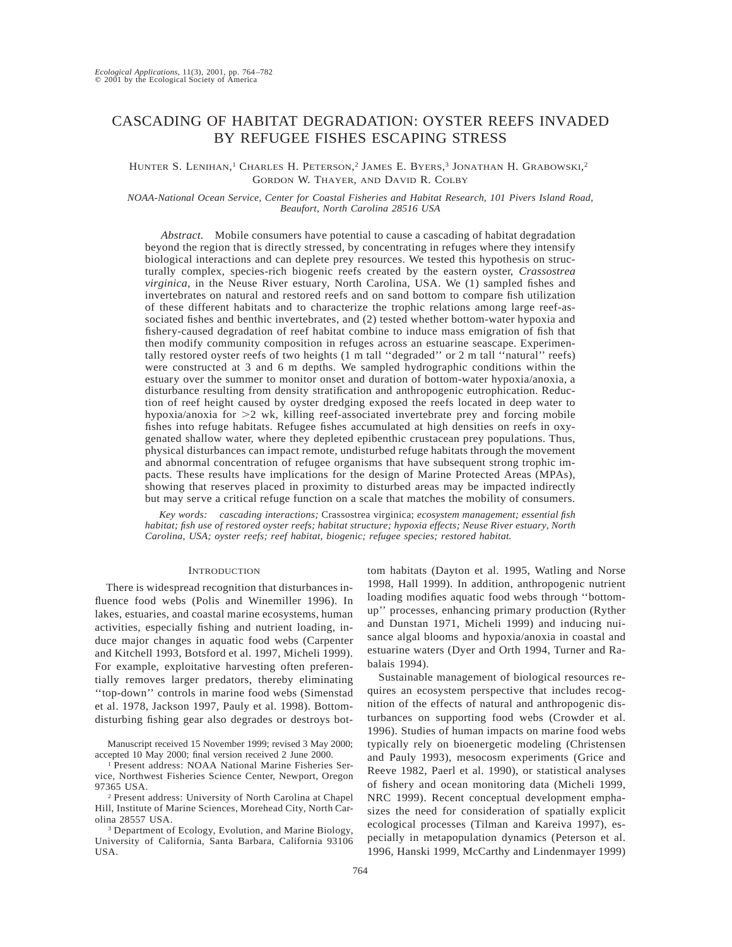# CASCADING OF HABITAT DEGRADATION: OYSTER REEFS INVADED BY REFUGEE FISHES ESCAPING STRESS

## HUNTER S. LENIHAN,<sup>1</sup> CHARLES H. PETERSON,<sup>2</sup> JAMES E. BYERS,<sup>3</sup> JONATHAN H. GRABOWSKI,<sup>2</sup> GORDON W. THAYER, AND DAVID R. COLBY

## *NOAA-National Ocean Service, Center for Coastal Fisheries and Habitat Research, 101 Pivers Island Road, Beaufort, North Carolina 28516 USA*

*Abstract.* Mobile consumers have potential to cause a cascading of habitat degradation beyond the region that is directly stressed, by concentrating in refuges where they intensify biological interactions and can deplete prey resources. We tested this hypothesis on structurally complex, species-rich biogenic reefs created by the eastern oyster, *Crassostrea virginica,* in the Neuse River estuary, North Carolina, USA. We (1) sampled fishes and invertebrates on natural and restored reefs and on sand bottom to compare fish utilization of these different habitats and to characterize the trophic relations among large reef-associated fishes and benthic invertebrates, and (2) tested whether bottom-water hypoxia and fishery-caused degradation of reef habitat combine to induce mass emigration of fish that then modify community composition in refuges across an estuarine seascape. Experimentally restored oyster reefs of two heights (1 m tall ''degraded'' or 2 m tall ''natural'' reefs) were constructed at 3 and 6 m depths. We sampled hydrographic conditions within the estuary over the summer to monitor onset and duration of bottom-water hypoxia/anoxia, a disturbance resulting from density stratification and anthropogenic eutrophication. Reduction of reef height caused by oyster dredging exposed the reefs located in deep water to hypoxia/anoxia for  $>2$  wk, killing reef-associated invertebrate prey and forcing mobile fishes into refuge habitats. Refugee fishes accumulated at high densities on reefs in oxygenated shallow water, where they depleted epibenthic crustacean prey populations. Thus, physical disturbances can impact remote, undisturbed refuge habitats through the movement and abnormal concentration of refugee organisms that have subsequent strong trophic impacts. These results have implications for the design of Marine Protected Areas (MPAs), showing that reserves placed in proximity to disturbed areas may be impacted indirectly but may serve a critical refuge function on a scale that matches the mobility of consumers.

*Key words: cascading interactions;* Crassostrea virginica; *ecosystem management; essential fish habitat; fish use of restored oyster reefs; habitat structure; hypoxia effects; Neuse River estuary, North Carolina, USA; oyster reefs; reef habitat, biogenic; refugee species; restored habitat.*

#### **INTRODUCTION**

There is widespread recognition that disturbances influence food webs (Polis and Winemiller 1996). In lakes, estuaries, and coastal marine ecosystems, human activities, especially fishing and nutrient loading, induce major changes in aquatic food webs (Carpenter and Kitchell 1993, Botsford et al. 1997, Micheli 1999). For example, exploitative harvesting often preferentially removes larger predators, thereby eliminating ''top-down'' controls in marine food webs (Simenstad et al. 1978, Jackson 1997, Pauly et al. 1998). Bottomdisturbing fishing gear also degrades or destroys bot-

Manuscript received 15 November 1999; revised 3 May 2000; accepted 10 May 2000; final version received 2 June 2000.

<sup>1</sup> Present address: NOAA National Marine Fisheries Service, Northwest Fisheries Science Center, Newport, Oregon 97365 USA.

<sup>2</sup> Present address: University of North Carolina at Chapel Hill, Institute of Marine Sciences, Morehead City, North Carolina 28557 USA.

<sup>3</sup> Department of Ecology, Evolution, and Marine Biology, University of California, Santa Barbara, California 93106 USA.

tom habitats (Dayton et al. 1995, Watling and Norse 1998, Hall 1999). In addition, anthropogenic nutrient loading modifies aquatic food webs through ''bottomup'' processes, enhancing primary production (Ryther and Dunstan 1971, Micheli 1999) and inducing nuisance algal blooms and hypoxia/anoxia in coastal and estuarine waters (Dyer and Orth 1994, Turner and Rabalais 1994).

Sustainable management of biological resources requires an ecosystem perspective that includes recognition of the effects of natural and anthropogenic disturbances on supporting food webs (Crowder et al. 1996). Studies of human impacts on marine food webs typically rely on bioenergetic modeling (Christensen and Pauly 1993), mesocosm experiments (Grice and Reeve 1982, Paerl et al. 1990), or statistical analyses of fishery and ocean monitoring data (Micheli 1999, NRC 1999). Recent conceptual development emphasizes the need for consideration of spatially explicit ecological processes (Tilman and Kareiva 1997), especially in metapopulation dynamics (Peterson et al. 1996, Hanski 1999, McCarthy and Lindenmayer 1999)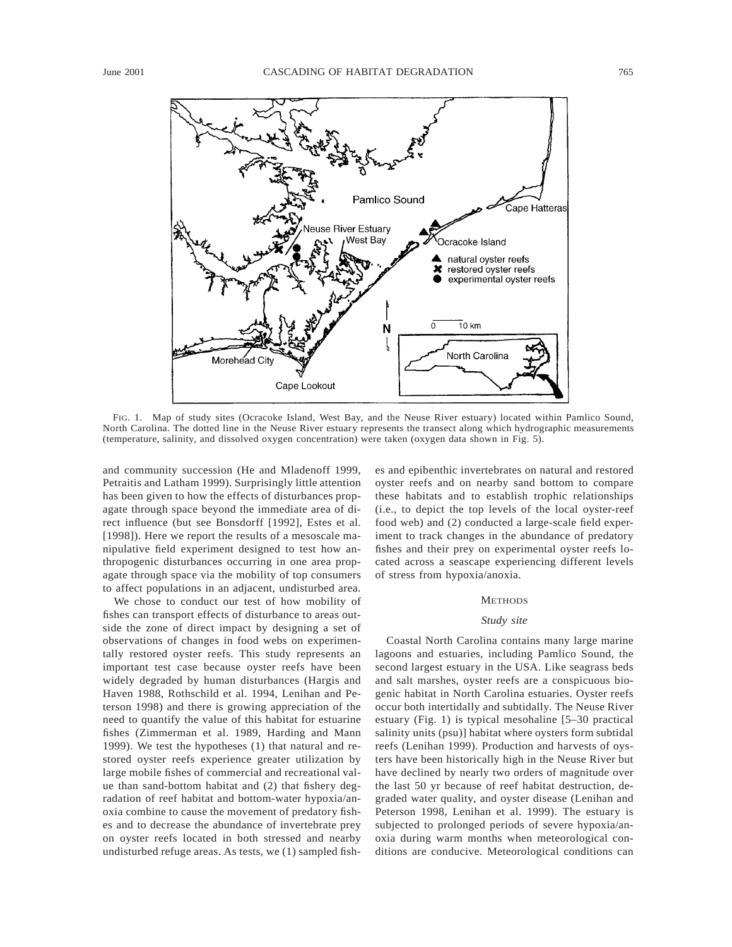

FIG. 1. Map of study sites (Ocracoke Island, West Bay, and the Neuse River estuary) located within Pamlico Sound, North Carolina. The dotted line in the Neuse River estuary represents the transect along which hydrographic measurements (temperature, salinity, and dissolved oxygen concentration) were taken (oxygen data shown in Fig. 5).

and community succession (He and Mladenoff 1999, Petraitis and Latham 1999). Surprisingly little attention has been given to how the effects of disturbances propagate through space beyond the immediate area of direct influence (but see Bonsdorff [1992], Estes et al. [1998]). Here we report the results of a mesoscale manipulative field experiment designed to test how anthropogenic disturbances occurring in one area propagate through space via the mobility of top consumers to affect populations in an adjacent, undisturbed area.

We chose to conduct our test of how mobility of fishes can transport effects of disturbance to areas outside the zone of direct impact by designing a set of observations of changes in food webs on experimentally restored oyster reefs. This study represents an important test case because oyster reefs have been widely degraded by human disturbances (Hargis and Haven 1988, Rothschild et al. 1994, Lenihan and Peterson 1998) and there is growing appreciation of the need to quantify the value of this habitat for estuarine fishes (Zimmerman et al. 1989, Harding and Mann 1999). We test the hypotheses (1) that natural and restored oyster reefs experience greater utilization by large mobile fishes of commercial and recreational value than sand-bottom habitat and (2) that fishery degradation of reef habitat and bottom-water hypoxia/anoxia combine to cause the movement of predatory fishes and to decrease the abundance of invertebrate prey on oyster reefs located in both stressed and nearby undisturbed refuge areas. As tests, we (1) sampled fishes and epibenthic invertebrates on natural and restored oyster reefs and on nearby sand bottom to compare these habitats and to establish trophic relationships (i.e., to depict the top levels of the local oyster-reef food web) and (2) conducted a large-scale field experiment to track changes in the abundance of predatory fishes and their prey on experimental oyster reefs located across a seascape experiencing different levels of stress from hypoxia/anoxia.

## **METHODS**

## *Study site*

Coastal North Carolina contains many large marine lagoons and estuaries, including Pamlico Sound, the second largest estuary in the USA. Like seagrass beds and salt marshes, oyster reefs are a conspicuous biogenic habitat in North Carolina estuaries. Oyster reefs occur both intertidally and subtidally. The Neuse River estuary (Fig. 1) is typical mesohaline [5–30 practical salinity units (psu)] habitat where oysters form subtidal reefs (Lenihan 1999). Production and harvests of oysters have been historically high in the Neuse River but have declined by nearly two orders of magnitude over the last 50 yr because of reef habitat destruction, degraded water quality, and oyster disease (Lenihan and Peterson 1998, Lenihan et al. 1999). The estuary is subjected to prolonged periods of severe hypoxia/anoxia during warm months when meteorological conditions are conducive. Meteorological conditions can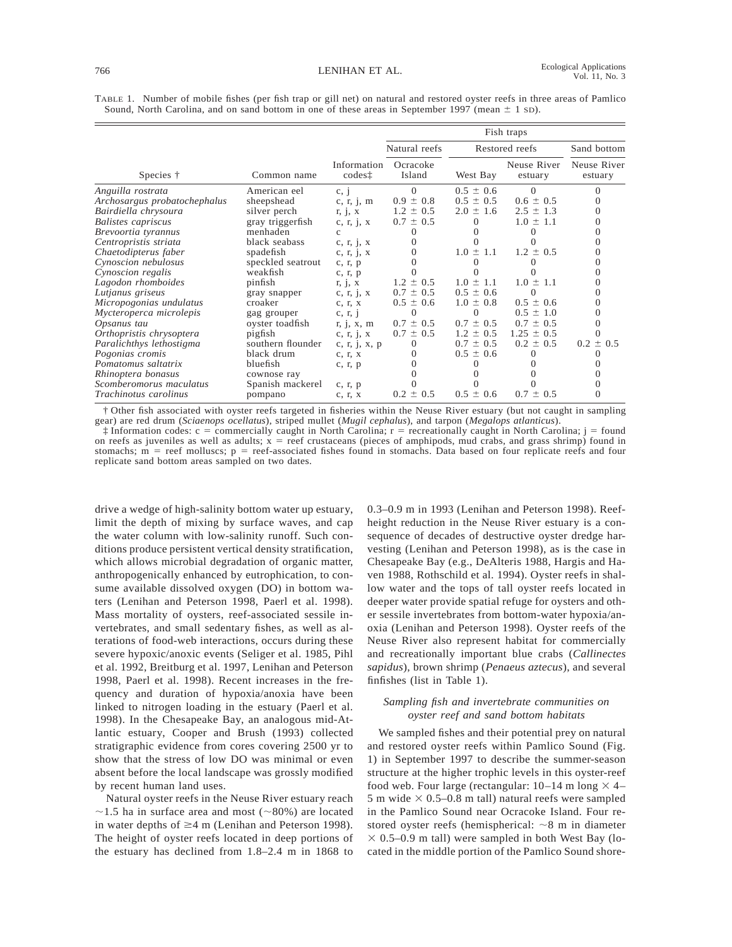TABLE 1. Number of mobile fishes (per fish trap or gill net) on natural and restored oyster reefs in three areas of Pamlico Sound, North Carolina, and on sand bottom in one of these areas in September 1997 (mean  $\pm$  1 sp).

|                              |                   |                                                        | Fish traps         |                  |                        |                        |
|------------------------------|-------------------|--------------------------------------------------------|--------------------|------------------|------------------------|------------------------|
|                              |                   |                                                        | Natural reefs      |                  | Restored reefs         | Sand bottom            |
| Species $\dagger$            | Common name       | Information<br>$codes$ <sup><math>\dagger</math></sup> | Ocracoke<br>Island | West Bay         | Neuse River<br>estuary | Neuse River<br>estuary |
| Anguilla rostrata            | American eel      | c, j                                                   | 0                  | $0.5 \pm 0.6$    | $\Omega$               |                        |
| Archosargus probatochephalus | sheepshead        | c, r, j, m                                             | $0.9 \pm 0.8$      | $0.5 \pm 0.5$    | $0.6 \pm 0.5$          |                        |
| Bairdiella chrysoura         | silver perch      | r, j, x                                                | $1.2 \pm 0.5$      | $2.0 \pm 1.6$    | $2.5 \pm 1.3$          |                        |
| <b>Balistes</b> capriscus    | gray triggerfish  | c, r, j, $x$                                           | $0.7 \pm 0.5$      | 0                | $1.0 \pm 1.1$          |                        |
| Brevoortia tyrannus          | menhaden          | $\mathcal{C}$                                          |                    |                  |                        |                        |
| Centropristis striata        | black seabass     | c, r, j, $x$                                           |                    |                  |                        |                        |
| Chaetodipterus faber         | spadefish         | c, r, j, $x$                                           |                    | $1.0 \pm 1.1$    | $1.2 \pm 0.5$          |                        |
| Cynoscion nebulosus          | speckled seatrout | c, r, p                                                |                    |                  |                        |                        |
| Cynoscion regalis            | weakfish          | c, r, p                                                |                    |                  |                        |                        |
| Lagodon rhomboides           | pinfish           | r, j, x                                                | $1.2 \pm 0.5$      | $1.0 \pm$<br>1.1 | $1.0 \pm 1.1$          |                        |
| Lutjanus griseus             | gray snapper      | c, r, j, $x$                                           | $0.7 \pm 0.5$      | $0.5 \pm 0.6$    |                        |                        |
| Micropogonias undulatus      | croaker           | c, r, x                                                | $0.5 \pm 0.6$      | $1.0 \pm 0.8$    | $0.5 \pm 0.6$          |                        |
| Mycteroperca microlepis      | gag grouper       | c, r, $\dot{i}$                                        |                    | 0                | $0.5 \pm 1.0$          |                        |
| Opsanus tau                  | oyster toadfish   | r, j, x, m                                             | $0.7 \pm 0.5$      | $0.7 \pm 0.5$    | $0.7 \pm 0.5$          |                        |
| Orthopristis chrysoptera     | pigfish           | c, r, j, $x$                                           | $0.7 \pm 0.5$      | $1.2 \pm 0.5$    | $1.25 \pm 0.5$         |                        |
| Paralichthys lethostigma     | southern flounder | c, r, j, x, $p$                                        |                    | $0.7 \pm 0.5$    | $0.2 \pm 0.5$          | $0.2 \pm 0.5$          |
| Pogonias cromis              | black drum        | c, r, x                                                |                    | $0.5 \pm 0.6$    |                        |                        |
| Pomatomus saltatrix          | bluefish          | c, r, p                                                |                    |                  |                        |                        |
| Rhinoptera bonasus           | cownose ray       |                                                        |                    |                  |                        |                        |
| Scomberomorus maculatus      | Spanish mackerel  | c, r, p                                                |                    |                  |                        |                        |
| Trachinotus carolinus        | pompano           | c, r, x                                                | $0.2 \pm 0.5$      | $0.5 \pm 0.6$    | $0.7 \pm 0.5$          | $\theta$               |

† Other fish associated with oyster reefs targeted in fisheries within the Neuse River estuary (but not caught in sampling gear) are red drum (*Sciaenops ocellatus*), striped mullet (*Mugil cephalus*), and tarpon (*Megalops atlanticus*).  $\ddagger$  Information codes: c = commercially caught in North Carolina; r = recreationally caught in North Carolina; j = found

on reefs as juveniles as well as adults;  $x =$  reef crustaceans (pieces of amphipods, mud crabs, and grass shrimp) found in stomachs;  $m =$  reef molluscs;  $p =$  reef-associated fishes found in stomachs. Data based on four replicate reefs and four replicate sand bottom areas sampled on two dates.

drive a wedge of high-salinity bottom water up estuary, limit the depth of mixing by surface waves, and cap the water column with low-salinity runoff. Such conditions produce persistent vertical density stratification, which allows microbial degradation of organic matter, anthropogenically enhanced by eutrophication, to consume available dissolved oxygen (DO) in bottom waters (Lenihan and Peterson 1998, Paerl et al. 1998). Mass mortality of oysters, reef-associated sessile invertebrates, and small sedentary fishes, as well as alterations of food-web interactions, occurs during these severe hypoxic/anoxic events (Seliger et al. 1985, Pihl et al. 1992, Breitburg et al. 1997, Lenihan and Peterson 1998, Paerl et al. 1998). Recent increases in the frequency and duration of hypoxia/anoxia have been linked to nitrogen loading in the estuary (Paerl et al. 1998). In the Chesapeake Bay, an analogous mid-Atlantic estuary, Cooper and Brush (1993) collected stratigraphic evidence from cores covering 2500 yr to show that the stress of low DO was minimal or even absent before the local landscape was grossly modified by recent human land uses.

Natural oyster reefs in the Neuse River estuary reach  $\sim$ 1.5 ha in surface area and most ( $\sim$ 80%) are located in water depths of  $\geq$ 4 m (Lenihan and Peterson 1998). The height of oyster reefs located in deep portions of the estuary has declined from 1.8–2.4 m in 1868 to 0.3–0.9 m in 1993 (Lenihan and Peterson 1998). Reefheight reduction in the Neuse River estuary is a consequence of decades of destructive oyster dredge harvesting (Lenihan and Peterson 1998), as is the case in Chesapeake Bay (e.g., DeAlteris 1988, Hargis and Haven 1988, Rothschild et al. 1994). Oyster reefs in shallow water and the tops of tall oyster reefs located in deeper water provide spatial refuge for oysters and other sessile invertebrates from bottom-water hypoxia/anoxia (Lenihan and Peterson 1998). Oyster reefs of the Neuse River also represent habitat for commercially and recreationally important blue crabs (*Callinectes sapidus*), brown shrimp (*Penaeus aztecus*), and several finfishes (list in Table 1).

## *Sampling fish and invertebrate communities on oyster reef and sand bottom habitats*

We sampled fishes and their potential prey on natural and restored oyster reefs within Pamlico Sound (Fig. 1) in September 1997 to describe the summer-season structure at the higher trophic levels in this oyster-reef food web. Four large (rectangular:  $10-14$  m long  $\times$  4– 5 m wide  $\times$  0.5–0.8 m tall) natural reefs were sampled in the Pamlico Sound near Ocracoke Island. Four restored oyster reefs (hemispherical:  $\sim$ 8 m in diameter  $\times$  0.5–0.9 m tall) were sampled in both West Bay (located in the middle portion of the Pamlico Sound shore-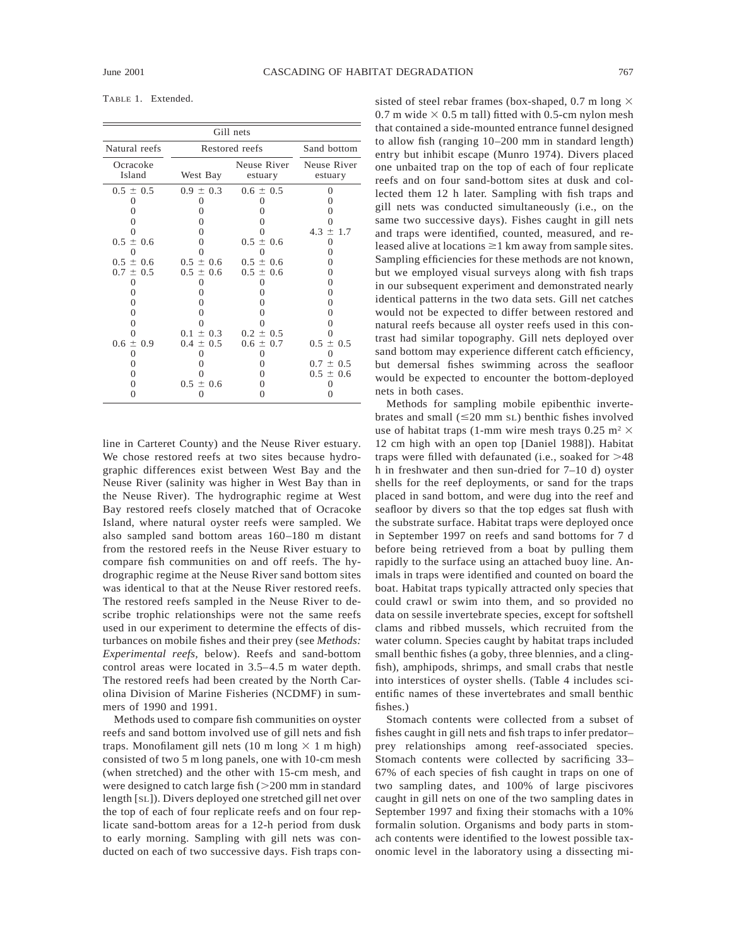| TABLE 1. | Extended. |
|----------|-----------|
|----------|-----------|

| Gill nets                                                                                                                         |                                                                                                                          |                                                                                   |                                                                                                                                  |  |  |  |  |  |  |
|-----------------------------------------------------------------------------------------------------------------------------------|--------------------------------------------------------------------------------------------------------------------------|-----------------------------------------------------------------------------------|----------------------------------------------------------------------------------------------------------------------------------|--|--|--|--|--|--|
| Natural reefs                                                                                                                     |                                                                                                                          | Restored reefs                                                                    | Sand bottom                                                                                                                      |  |  |  |  |  |  |
| Ocracoke<br>Island                                                                                                                | West Bay                                                                                                                 | Neuse River<br>estuary                                                            | Neuse River<br>estuary                                                                                                           |  |  |  |  |  |  |
| $0.5 \pm 0.5$<br>0<br>± 0.6<br>0.5<br>$0.5 \pm 0.6$<br>$0.7 \pm 0.5$<br>0<br>$\left( \right)$<br>0<br>0<br>$\mathbf{\Omega}$<br>0 | $0.9 \pm 0.3$<br>0<br>$\left( \right)$<br>$\mathbf{\Omega}$<br>$0.5 \pm 0.6$<br>$0.5 \pm 0.6$<br>0<br>0<br>$0.1 \pm 0.3$ | $0.6 \pm 0.5$<br>$0.5 \pm 0.6$<br>$0.5 \pm 0.6$<br>$0.5 \pm 0.6$<br>$0.2 \pm 0.5$ | 0<br>0<br>0<br>$4.3 \pm 1.7$<br>0<br>$\Omega$<br>0<br>0<br>$\mathbf{\Omega}$<br>$\mathbf{\Omega}$<br>$\mathbf{\Omega}$<br>0<br>0 |  |  |  |  |  |  |
| $0.6 \pm 0.9$<br>$\Omega$<br>0<br>0                                                                                               | $0.4 \pm 0.5$<br>± 0.6<br>$0.5^{\circ}$<br>$\left( \right)$                                                              | $0.6 \pm 0.7$<br>0<br>$\mathbf{\Omega}$                                           | $0.5 \pm 0.5$<br>$0.7 \pm 0.5$<br>$0.5 \pm 0.6$                                                                                  |  |  |  |  |  |  |

line in Carteret County) and the Neuse River estuary. We chose restored reefs at two sites because hydrographic differences exist between West Bay and the Neuse River (salinity was higher in West Bay than in the Neuse River). The hydrographic regime at West Bay restored reefs closely matched that of Ocracoke Island, where natural oyster reefs were sampled. We also sampled sand bottom areas 160–180 m distant from the restored reefs in the Neuse River estuary to compare fish communities on and off reefs. The hydrographic regime at the Neuse River sand bottom sites was identical to that at the Neuse River restored reefs. The restored reefs sampled in the Neuse River to describe trophic relationships were not the same reefs used in our experiment to determine the effects of disturbances on mobile fishes and their prey (see *Methods: Experimental reefs,* below). Reefs and sand-bottom control areas were located in 3.5–4.5 m water depth. The restored reefs had been created by the North Carolina Division of Marine Fisheries (NCDMF) in summers of 1990 and 1991.

Methods used to compare fish communities on oyster reefs and sand bottom involved use of gill nets and fish traps. Monofilament gill nets (10 m long  $\times$  1 m high) consisted of two 5 m long panels, one with 10-cm mesh (when stretched) and the other with 15-cm mesh, and were designed to catch large fish  $(>200$  mm in standard length [SL]). Divers deployed one stretched gill net over the top of each of four replicate reefs and on four replicate sand-bottom areas for a 12-h period from dusk to early morning. Sampling with gill nets was conducted on each of two successive days. Fish traps con-

sisted of steel rebar frames (box-shaped, 0.7 m long  $\times$ 0.7 m wide  $\times$  0.5 m tall) fitted with 0.5-cm nylon mesh that contained a side-mounted entrance funnel designed to allow fish (ranging 10–200 mm in standard length) entry but inhibit escape (Munro 1974). Divers placed one unbaited trap on the top of each of four replicate reefs and on four sand-bottom sites at dusk and collected them 12 h later. Sampling with fish traps and gill nets was conducted simultaneously (i.e., on the same two successive days). Fishes caught in gill nets and traps were identified, counted, measured, and released alive at locations  $\geq 1$  km away from sample sites. Sampling efficiencies for these methods are not known, but we employed visual surveys along with fish traps in our subsequent experiment and demonstrated nearly identical patterns in the two data sets. Gill net catches would not be expected to differ between restored and natural reefs because all oyster reefs used in this contrast had similar topography. Gill nets deployed over sand bottom may experience different catch efficiency, but demersal fishes swimming across the seafloor would be expected to encounter the bottom-deployed nets in both cases.

Methods for sampling mobile epibenthic invertebrates and small  $(\leq 20 \text{ mm sL})$  benthic fishes involved use of habitat traps (1-mm wire mesh trays  $0.25$  m<sup>2</sup>  $\times$ 12 cm high with an open top [Daniel 1988]). Habitat traps were filled with defaunated (i.e., soaked for  $>48$ h in freshwater and then sun-dried for 7–10 d) oyster shells for the reef deployments, or sand for the traps placed in sand bottom, and were dug into the reef and seafloor by divers so that the top edges sat flush with the substrate surface. Habitat traps were deployed once in September 1997 on reefs and sand bottoms for 7 d before being retrieved from a boat by pulling them rapidly to the surface using an attached buoy line. Animals in traps were identified and counted on board the boat. Habitat traps typically attracted only species that could crawl or swim into them, and so provided no data on sessile invertebrate species, except for softshell clams and ribbed mussels, which recruited from the water column. Species caught by habitat traps included small benthic fishes (a goby, three blennies, and a clingfish), amphipods, shrimps, and small crabs that nestle into interstices of oyster shells. (Table 4 includes scientific names of these invertebrates and small benthic fishes.)

Stomach contents were collected from a subset of fishes caught in gill nets and fish traps to infer predator– prey relationships among reef-associated species. Stomach contents were collected by sacrificing 33– 67% of each species of fish caught in traps on one of two sampling dates, and 100% of large piscivores caught in gill nets on one of the two sampling dates in September 1997 and fixing their stomachs with a 10% formalin solution. Organisms and body parts in stomach contents were identified to the lowest possible taxonomic level in the laboratory using a dissecting mi-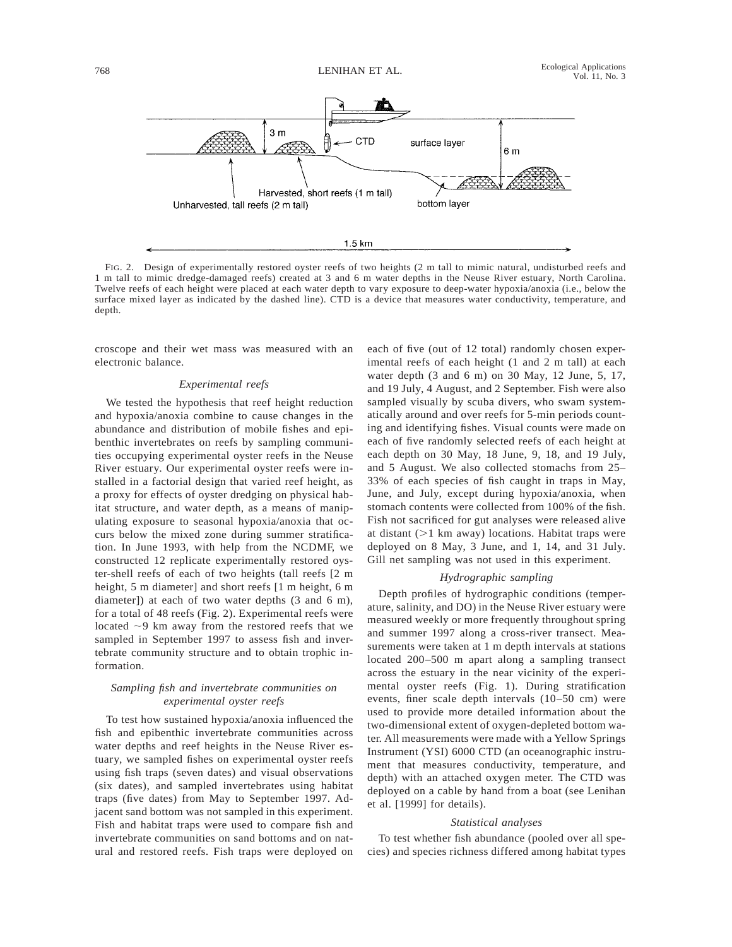

FIG. 2. Design of experimentally restored oyster reefs of two heights (2 m tall to mimic natural, undisturbed reefs and 1 m tall to mimic dredge-damaged reefs) created at 3 and 6 m water depths in the Neuse River estuary, North Carolina. Twelve reefs of each height were placed at each water depth to vary exposure to deep-water hypoxia/anoxia (i.e., below the surface mixed layer as indicated by the dashed line). CTD is a device that measures water conductivity, temperature, and depth.

croscope and their wet mass was measured with an electronic balance.

#### *Experimental reefs*

We tested the hypothesis that reef height reduction and hypoxia/anoxia combine to cause changes in the abundance and distribution of mobile fishes and epibenthic invertebrates on reefs by sampling communities occupying experimental oyster reefs in the Neuse River estuary. Our experimental oyster reefs were installed in a factorial design that varied reef height, as a proxy for effects of oyster dredging on physical habitat structure, and water depth, as a means of manipulating exposure to seasonal hypoxia/anoxia that occurs below the mixed zone during summer stratification. In June 1993, with help from the NCDMF, we constructed 12 replicate experimentally restored oyster-shell reefs of each of two heights (tall reefs [2 m height, 5 m diameter] and short reefs [1 m height, 6 m diameter]) at each of two water depths (3 and 6 m), for a total of 48 reefs (Fig. 2). Experimental reefs were located  $\sim$ 9 km away from the restored reefs that we sampled in September 1997 to assess fish and invertebrate community structure and to obtain trophic information.

## *Sampling fish and invertebrate communities on experimental oyster reefs*

To test how sustained hypoxia/anoxia influenced the fish and epibenthic invertebrate communities across water depths and reef heights in the Neuse River estuary, we sampled fishes on experimental oyster reefs using fish traps (seven dates) and visual observations (six dates), and sampled invertebrates using habitat traps (five dates) from May to September 1997. Adjacent sand bottom was not sampled in this experiment. Fish and habitat traps were used to compare fish and invertebrate communities on sand bottoms and on natural and restored reefs. Fish traps were deployed on each of five (out of 12 total) randomly chosen experimental reefs of each height (1 and 2 m tall) at each water depth (3 and 6 m) on 30 May, 12 June, 5, 17, and 19 July, 4 August, and 2 September. Fish were also sampled visually by scuba divers, who swam systematically around and over reefs for 5-min periods counting and identifying fishes. Visual counts were made on each of five randomly selected reefs of each height at each depth on 30 May, 18 June, 9, 18, and 19 July, and 5 August. We also collected stomachs from 25– 33% of each species of fish caught in traps in May, June, and July, except during hypoxia/anoxia, when stomach contents were collected from 100% of the fish. Fish not sacrificed for gut analyses were released alive at distant  $(>1$  km away) locations. Habitat traps were deployed on 8 May, 3 June, and 1, 14, and 31 July. Gill net sampling was not used in this experiment.

## *Hydrographic sampling*

Depth profiles of hydrographic conditions (temperature, salinity, and DO) in the Neuse River estuary were measured weekly or more frequently throughout spring and summer 1997 along a cross-river transect. Measurements were taken at 1 m depth intervals at stations located 200–500 m apart along a sampling transect across the estuary in the near vicinity of the experimental oyster reefs (Fig. 1). During stratification events, finer scale depth intervals (10–50 cm) were used to provide more detailed information about the two-dimensional extent of oxygen-depleted bottom water. All measurements were made with a Yellow Springs Instrument (YSI) 6000 CTD (an oceanographic instrument that measures conductivity, temperature, and depth) with an attached oxygen meter. The CTD was deployed on a cable by hand from a boat (see Lenihan et al. [1999] for details).

#### *Statistical analyses*

To test whether fish abundance (pooled over all species) and species richness differed among habitat types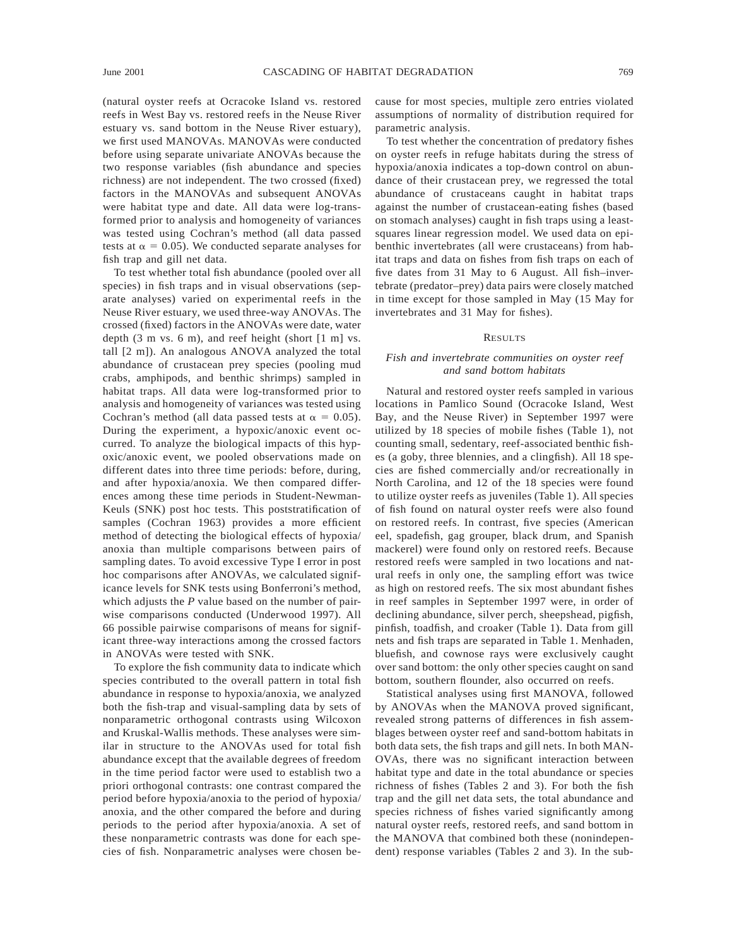(natural oyster reefs at Ocracoke Island vs. restored reefs in West Bay vs. restored reefs in the Neuse River estuary vs. sand bottom in the Neuse River estuary), we first used MANOVAs. MANOVAs were conducted before using separate univariate ANOVAs because the two response variables (fish abundance and species richness) are not independent. The two crossed (fixed) factors in the MANOVAs and subsequent ANOVAs were habitat type and date. All data were log-transformed prior to analysis and homogeneity of variances was tested using Cochran's method (all data passed tests at  $\alpha = 0.05$ ). We conducted separate analyses for fish trap and gill net data.

To test whether total fish abundance (pooled over all species) in fish traps and in visual observations (separate analyses) varied on experimental reefs in the Neuse River estuary, we used three-way ANOVAs. The crossed (fixed) factors in the ANOVAs were date, water depth  $(3 \text{ m vs. } 6 \text{ m})$ , and reef height (short  $[1 \text{ m}]$  vs. tall [2 m]). An analogous ANOVA analyzed the total abundance of crustacean prey species (pooling mud crabs, amphipods, and benthic shrimps) sampled in habitat traps. All data were log-transformed prior to analysis and homogeneity of variances was tested using Cochran's method (all data passed tests at  $\alpha = 0.05$ ). During the experiment, a hypoxic/anoxic event occurred. To analyze the biological impacts of this hypoxic/anoxic event, we pooled observations made on different dates into three time periods: before, during, and after hypoxia/anoxia. We then compared differences among these time periods in Student-Newman-Keuls (SNK) post hoc tests. This poststratification of samples (Cochran 1963) provides a more efficient method of detecting the biological effects of hypoxia/ anoxia than multiple comparisons between pairs of sampling dates. To avoid excessive Type I error in post hoc comparisons after ANOVAs, we calculated significance levels for SNK tests using Bonferroni's method, which adjusts the *P* value based on the number of pairwise comparisons conducted (Underwood 1997). All 66 possible pairwise comparisons of means for significant three-way interactions among the crossed factors in ANOVAs were tested with SNK.

To explore the fish community data to indicate which species contributed to the overall pattern in total fish abundance in response to hypoxia/anoxia, we analyzed both the fish-trap and visual-sampling data by sets of nonparametric orthogonal contrasts using Wilcoxon and Kruskal-Wallis methods. These analyses were similar in structure to the ANOVAs used for total fish abundance except that the available degrees of freedom in the time period factor were used to establish two a priori orthogonal contrasts: one contrast compared the period before hypoxia/anoxia to the period of hypoxia/ anoxia, and the other compared the before and during periods to the period after hypoxia/anoxia. A set of these nonparametric contrasts was done for each species of fish. Nonparametric analyses were chosen because for most species, multiple zero entries violated assumptions of normality of distribution required for parametric analysis.

To test whether the concentration of predatory fishes on oyster reefs in refuge habitats during the stress of hypoxia/anoxia indicates a top-down control on abundance of their crustacean prey, we regressed the total abundance of crustaceans caught in habitat traps against the number of crustacean-eating fishes (based on stomach analyses) caught in fish traps using a leastsquares linear regression model. We used data on epibenthic invertebrates (all were crustaceans) from habitat traps and data on fishes from fish traps on each of five dates from 31 May to 6 August. All fish–invertebrate (predator–prey) data pairs were closely matched in time except for those sampled in May (15 May for invertebrates and 31 May for fishes).

## RESULTS

## *Fish and invertebrate communities on oyster reef and sand bottom habitats*

Natural and restored oyster reefs sampled in various locations in Pamlico Sound (Ocracoke Island, West Bay, and the Neuse River) in September 1997 were utilized by 18 species of mobile fishes (Table 1), not counting small, sedentary, reef-associated benthic fishes (a goby, three blennies, and a clingfish). All 18 species are fished commercially and/or recreationally in North Carolina, and 12 of the 18 species were found to utilize oyster reefs as juveniles (Table 1). All species of fish found on natural oyster reefs were also found on restored reefs. In contrast, five species (American eel, spadefish, gag grouper, black drum, and Spanish mackerel) were found only on restored reefs. Because restored reefs were sampled in two locations and natural reefs in only one, the sampling effort was twice as high on restored reefs. The six most abundant fishes in reef samples in September 1997 were, in order of declining abundance, silver perch, sheepshead, pigfish, pinfish, toadfish, and croaker (Table 1). Data from gill nets and fish traps are separated in Table 1. Menhaden, bluefish, and cownose rays were exclusively caught over sand bottom: the only other species caught on sand bottom, southern flounder, also occurred on reefs.

Statistical analyses using first MANOVA, followed by ANOVAs when the MANOVA proved significant, revealed strong patterns of differences in fish assemblages between oyster reef and sand-bottom habitats in both data sets, the fish traps and gill nets. In both MAN-OVAs, there was no significant interaction between habitat type and date in the total abundance or species richness of fishes (Tables 2 and 3). For both the fish trap and the gill net data sets, the total abundance and species richness of fishes varied significantly among natural oyster reefs, restored reefs, and sand bottom in the MANOVA that combined both these (nonindependent) response variables (Tables 2 and 3). In the sub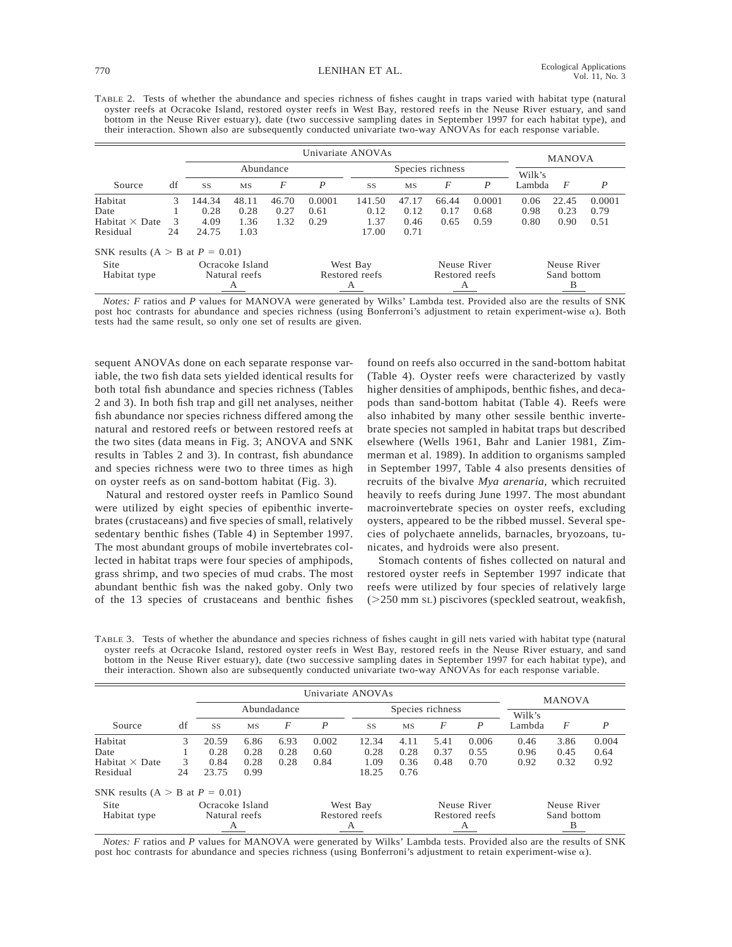TABLE 2. Tests of whether the abundance and species richness of fishes caught in traps varied with habitat type (natural oyster reefs at Ocracoke Island, restored oyster reefs in West Bay, restored reefs in the Neuse River estuary, and sand bottom in the Neuse River estuary), date (two successive sampling dates in September 1997 for each habitat type), and their interaction. Shown also are subsequently conducted univariate two-way ANOVAs for each response variable.

| Univariate ANOVAs                 |    |        |                 |           |        |                  |           |                |                  | <b>MANOVA</b> |                |                  |
|-----------------------------------|----|--------|-----------------|-----------|--------|------------------|-----------|----------------|------------------|---------------|----------------|------------------|
|                                   |    |        |                 | Abundance |        | Species richness |           |                | Wilk's           |               |                |                  |
| Source                            | df | SS     | <b>MS</b>       | F         | P      | <b>SS</b>        | <b>MS</b> | $\overline{F}$ | $\boldsymbol{P}$ | Lambda        | $\overline{F}$ | $\boldsymbol{P}$ |
| Habitat                           | 3  | 144.34 | 48.11           | 46.70     | 0.0001 | 141.50           | 47.17     | 66.44          | 0.0001           | 0.06          | 22.45          | 0.0001           |
| Date                              |    | 0.28   | 0.28            | 0.27      | 0.61   | 0.12             | 0.12      | 0.17           | 0.68             | 0.98          | 0.23           | 0.79             |
| Habitat $\times$ Date             | 3  | 4.09   | 1.36            | 1.32      | 0.29   | 1.37             | 0.46      | 0.65           | 0.59             | 0.80          | 0.90           | 0.51             |
| Residual                          | 24 | 24.75  | 1.03            |           |        | 17.00            | 0.71      |                |                  |               |                |                  |
| SNK results (A $>$ B at P = 0.01) |    |        |                 |           |        |                  |           |                |                  |               |                |                  |
| Site                              |    |        | Ocracoke Island |           |        | West Bay         |           | Neuse River    |                  |               | Neuse River    |                  |
| Habitat type                      |    |        | Natural reefs   |           |        | Restored reefs   |           |                | Restored reefs   | Sand bottom   |                |                  |
|                                   |    |        | А               |           |        | А                |           | А              |                  |               | B              |                  |

*Notes: F* ratios and *P* values for MANOVA were generated by Wilks' Lambda test. Provided also are the results of SNK post hoc contrasts for abundance and species richness (using Bonferroni's adjustment to retain experiment-wise a). Both tests had the same result, so only one set of results are given.

sequent ANOVAs done on each separate response variable, the two fish data sets yielded identical results for both total fish abundance and species richness (Tables 2 and 3). In both fish trap and gill net analyses, neither fish abundance nor species richness differed among the natural and restored reefs or between restored reefs at the two sites (data means in Fig. 3; ANOVA and SNK results in Tables 2 and 3). In contrast, fish abundance and species richness were two to three times as high on oyster reefs as on sand-bottom habitat (Fig. 3).

Natural and restored oyster reefs in Pamlico Sound were utilized by eight species of epibenthic invertebrates (crustaceans) and five species of small, relatively sedentary benthic fishes (Table 4) in September 1997. The most abundant groups of mobile invertebrates collected in habitat traps were four species of amphipods, grass shrimp, and two species of mud crabs. The most abundant benthic fish was the naked goby. Only two of the 13 species of crustaceans and benthic fishes

found on reefs also occurred in the sand-bottom habitat (Table 4). Oyster reefs were characterized by vastly higher densities of amphipods, benthic fishes, and decapods than sand-bottom habitat (Table 4). Reefs were also inhabited by many other sessile benthic invertebrate species not sampled in habitat traps but described elsewhere (Wells 1961, Bahr and Lanier 1981, Zimmerman et al. 1989). In addition to organisms sampled in September 1997, Table 4 also presents densities of recruits of the bivalve *Mya arenaria,* which recruited heavily to reefs during June 1997. The most abundant macroinvertebrate species on oyster reefs, excluding oysters, appeared to be the ribbed mussel. Several species of polychaete annelids, barnacles, bryozoans, tunicates, and hydroids were also present.

Stomach contents of fishes collected on natural and restored oyster reefs in September 1997 indicate that reefs were utilized by four species of relatively large  $(>=250$  mm sL) piscivores (speckled seatrout, weakfish,

TABLE 3. Tests of whether the abundance and species richness of fishes caught in gill nets varied with habitat type (natural oyster reefs at Ocracoke Island, restored oyster reefs in West Bay, restored reefs in the Neuse River estuary, and sand bottom in the Neuse River estuary), date (two successive sampling dates in September 1997 for each habitat type), and their interaction. Shown also are subsequently conducted univariate two-way ANOVAs for each response variable.

|                                   |    | Univariate ANOVAs |           |      |                  |                  |           |      | <b>MANOVA</b>  |                  |             |                  |
|-----------------------------------|----|-------------------|-----------|------|------------------|------------------|-----------|------|----------------|------------------|-------------|------------------|
|                                   |    | Abundadance       |           |      |                  | Species richness |           |      |                |                  |             |                  |
| Source                            | df | SS                | <b>MS</b> | F    | $\boldsymbol{P}$ | <b>SS</b>        | <b>MS</b> | F    | P              | Wilk's<br>Lambda | F           | $\boldsymbol{P}$ |
| Habitat                           | 3  | 20.59             | 6.86      | 6.93 | 0.002            | 12.34            | 4.11      | 5.41 | 0.006          | 0.46             | 3.86        | 0.004            |
| Date                              |    | 0.28              | 0.28      | 0.28 | 0.60             | 0.28             | 0.28      | 0.37 | 0.55           | 0.96             | 0.45        | 0.64             |
| Habitat $\times$ Date             | 3  | 0.84              | 0.28      | 0.28 | 0.84             | 1.09             | 0.36      | 0.48 | 0.70           | 0.92             | 0.32        | 0.92             |
| Residual                          | 24 | 23.75             | 0.99      |      |                  | 18.25            | 0.76      |      |                |                  |             |                  |
| SNK results (A $>$ B at P = 0.01) |    |                   |           |      |                  |                  |           |      |                |                  |             |                  |
| Site                              |    | Ocracoke Island   |           |      |                  | West Bay         |           |      | Neuse River    |                  | Neuse River |                  |
| Habitat type                      |    | Natural reefs     |           |      |                  | Restored reefs   |           |      | Restored reefs |                  | Sand bottom |                  |
|                                   |    | А                 |           |      |                  | А                |           |      | А              |                  | B           |                  |

*Notes: F* ratios and *P* values for MANOVA were generated by Wilks' Lambda tests. Provided also are the results of SNK post hoc contrasts for abundance and species richness (using Bonferroni's adjustment to retain experiment-wise a).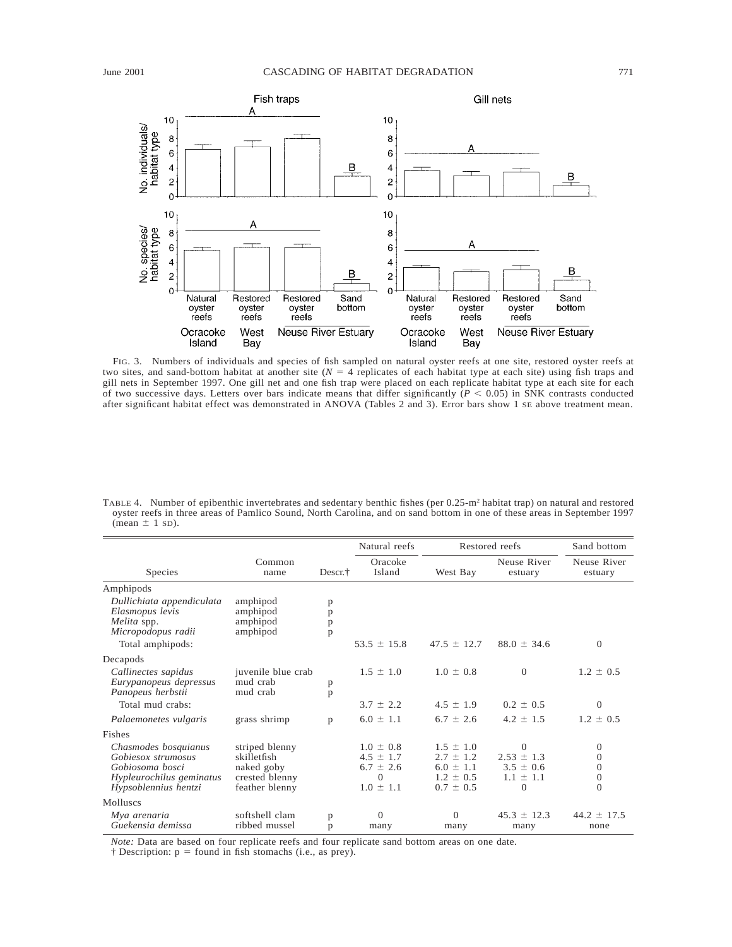

FIG. 3. Numbers of individuals and species of fish sampled on natural oyster reefs at one site, restored oyster reefs at two sites, and sand-bottom habitat at another site  $(N = 4$  replicates of each habitat type at each site) using fish traps and gill nets in September 1997. One gill net and one fish trap were placed on each replicate habitat type at each site for each of two successive days. Letters over bars indicate means that differ significantly ( $P < 0.05$ ) in SNK contrasts conducted after significant habitat effect was demonstrated in ANOVA (Tables 2 and 3). Error bars show 1 SE above treatment mean.

|                                    | TABLE 4. Number of epibenthic invertebrates and sedentary benthic fishes (per 0.25-m <sup>2</sup> habitat trap) on natural and restored |  |  |  |  |  |
|------------------------------------|-----------------------------------------------------------------------------------------------------------------------------------------|--|--|--|--|--|
|                                    | ovster reefs in three areas of Pamlico Sound. North Carolina, and on sand bottom in one of these areas in September 1997                |  |  |  |  |  |
| $(\text{mean} \pm 1 \text{ SD})$ . |                                                                                                                                         |  |  |  |  |  |

|                                                                                                                   |                                                                                 |                     | Natural reefs                                                                |                                                                                   | Restored reefs                                                    | Sand bottom                                                                                  |  |
|-------------------------------------------------------------------------------------------------------------------|---------------------------------------------------------------------------------|---------------------|------------------------------------------------------------------------------|-----------------------------------------------------------------------------------|-------------------------------------------------------------------|----------------------------------------------------------------------------------------------|--|
| Species                                                                                                           | Common<br>name                                                                  | Descr. <sup>†</sup> | Oracoke<br>Island                                                            | West Bay                                                                          | Neuse River<br>estuary                                            | Neuse River<br>estuary                                                                       |  |
| Amphipods                                                                                                         |                                                                                 |                     |                                                                              |                                                                                   |                                                                   |                                                                                              |  |
| Dullichiata appendiculata<br>Elasmopus levis<br><i>Melita</i> spp.<br>Micropodopus radii<br>Total amphipods:      | amphipod<br>amphipod<br>amphipod<br>amphipod                                    | p<br>p<br>p<br>p    | $53.5 \pm 15.8$                                                              | $47.5 \pm 12.7$                                                                   | $88.0 \pm 34.6$                                                   | $\overline{0}$                                                                               |  |
| Decapods                                                                                                          |                                                                                 |                     |                                                                              |                                                                                   |                                                                   |                                                                                              |  |
| Callinectes sapidus<br>Eurypanopeus depressus<br>Panopeus herbstii<br>Total mud crabs:                            | juvenile blue crab<br>mud crab<br>mud crab                                      | p<br>p              | $1.5 \pm 1.0$<br>$3.7 \pm 2.2$                                               | $1.0 \pm 0.8$<br>$4.5 \pm 1.9$                                                    | $\Omega$<br>$0.2 \pm 0.5$                                         | $1.2 \pm 0.5$<br>$\theta$                                                                    |  |
| Palaemonetes vulgaris                                                                                             | grass shrimp                                                                    | p                   | $6.0 \pm 1.1$                                                                | $6.7 \pm 2.6$                                                                     | $4.2 \pm 1.5$                                                     | $1.2 \pm 0.5$                                                                                |  |
| Fishes                                                                                                            |                                                                                 |                     |                                                                              |                                                                                   |                                                                   |                                                                                              |  |
| Chasmodes bosquianus<br>Gobiesox strumosus<br>Gobiosoma bosci<br>Hypleurochilus geminatus<br>Hypsoblennius hentzi | striped blenny<br>skilletfish<br>naked goby<br>crested blenny<br>feather blenny |                     | $1.0 \pm 0.8$<br>$4.5 \pm 1.7$<br>$6.7 \pm 2.6$<br>$\Omega$<br>$1.0 \pm 1.1$ | $1.5 \pm 1.0$<br>$2.7 \pm 1.2$<br>$6.0 \pm 1.1$<br>$1.2 \pm 0.5$<br>$0.7 \pm 0.5$ | 0<br>$2.53 \pm 1.3$<br>$3.5 \pm 0.6$<br>$1.1 \pm 1.1$<br>$\Omega$ | $\overline{0}$<br>$\boldsymbol{0}$<br>$\boldsymbol{0}$<br>$\boldsymbol{0}$<br>$\overline{0}$ |  |
| Molluscs                                                                                                          |                                                                                 |                     |                                                                              |                                                                                   |                                                                   |                                                                                              |  |
| Mya arenaria<br>Guekensia demissa                                                                                 | softshell clam<br>ribbed mussel                                                 | p<br>p              | $\Omega$<br>many                                                             | $\Omega$<br>many                                                                  | $45.3 \pm 12.3$<br>many                                           | $44.2 \pm 17.5$<br>none                                                                      |  |

*Note:* Data are based on four replicate reefs and four replicate sand bottom areas on one date.

 $\dagger$  Description:  $p =$  found in fish stomachs (i.e., as prey).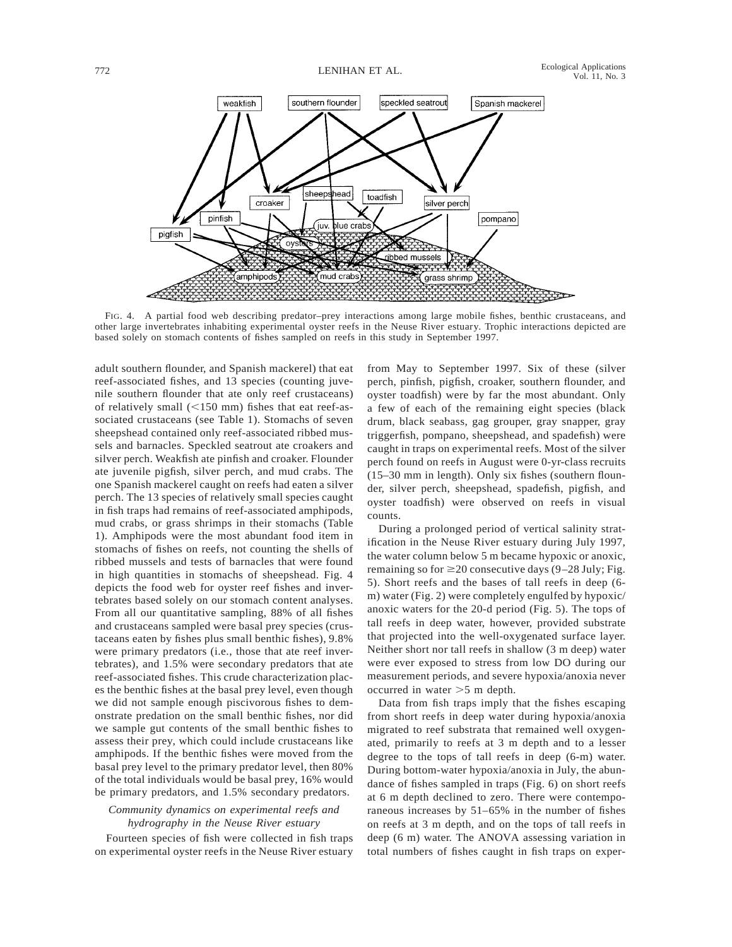

FIG. 4. A partial food web describing predator–prey interactions among large mobile fishes, benthic crustaceans, and other large invertebrates inhabiting experimental oyster reefs in the Neuse River estuary. Trophic interactions depicted are based solely on stomach contents of fishes sampled on reefs in this study in September 1997.

adult southern flounder, and Spanish mackerel) that eat reef-associated fishes, and 13 species (counting juvenile southern flounder that ate only reef crustaceans) of relatively small  $(<150$  mm) fishes that eat reef-associated crustaceans (see Table 1). Stomachs of seven sheepshead contained only reef-associated ribbed mussels and barnacles. Speckled seatrout ate croakers and silver perch. Weakfish ate pinfish and croaker. Flounder ate juvenile pigfish, silver perch, and mud crabs. The one Spanish mackerel caught on reefs had eaten a silver perch. The 13 species of relatively small species caught in fish traps had remains of reef-associated amphipods, mud crabs, or grass shrimps in their stomachs (Table 1). Amphipods were the most abundant food item in stomachs of fishes on reefs, not counting the shells of ribbed mussels and tests of barnacles that were found in high quantities in stomachs of sheepshead. Fig. 4 depicts the food web for oyster reef fishes and invertebrates based solely on our stomach content analyses. From all our quantitative sampling, 88% of all fishes and crustaceans sampled were basal prey species (crustaceans eaten by fishes plus small benthic fishes), 9.8% were primary predators (i.e., those that ate reef invertebrates), and 1.5% were secondary predators that ate reef-associated fishes. This crude characterization places the benthic fishes at the basal prey level, even though we did not sample enough piscivorous fishes to demonstrate predation on the small benthic fishes, nor did we sample gut contents of the small benthic fishes to assess their prey, which could include crustaceans like amphipods. If the benthic fishes were moved from the basal prey level to the primary predator level, then 80% of the total individuals would be basal prey, 16% would be primary predators, and 1.5% secondary predators.

## *Community dynamics on experimental reefs and hydrography in the Neuse River estuary*

Fourteen species of fish were collected in fish traps on experimental oyster reefs in the Neuse River estuary

from May to September 1997. Six of these (silver perch, pinfish, pigfish, croaker, southern flounder, and oyster toadfish) were by far the most abundant. Only a few of each of the remaining eight species (black drum, black seabass, gag grouper, gray snapper, gray triggerfish, pompano, sheepshead, and spadefish) were caught in traps on experimental reefs. Most of the silver perch found on reefs in August were 0-yr-class recruits (15–30 mm in length). Only six fishes (southern flounder, silver perch, sheepshead, spadefish, pigfish, and oyster toadfish) were observed on reefs in visual counts.

During a prolonged period of vertical salinity stratification in the Neuse River estuary during July 1997, the water column below 5 m became hypoxic or anoxic, remaining so for  $\geq$  20 consecutive days (9–28 July; Fig. 5). Short reefs and the bases of tall reefs in deep (6 m) water (Fig. 2) were completely engulfed by hypoxic/ anoxic waters for the 20-d period (Fig. 5). The tops of tall reefs in deep water, however, provided substrate that projected into the well-oxygenated surface layer. Neither short nor tall reefs in shallow (3 m deep) water were ever exposed to stress from low DO during our measurement periods, and severe hypoxia/anoxia never occurred in water  $>5$  m depth.

Data from fish traps imply that the fishes escaping from short reefs in deep water during hypoxia/anoxia migrated to reef substrata that remained well oxygenated, primarily to reefs at 3 m depth and to a lesser degree to the tops of tall reefs in deep (6-m) water. During bottom-water hypoxia/anoxia in July, the abundance of fishes sampled in traps (Fig. 6) on short reefs at 6 m depth declined to zero. There were contemporaneous increases by 51–65% in the number of fishes on reefs at 3 m depth, and on the tops of tall reefs in deep (6 m) water. The ANOVA assessing variation in total numbers of fishes caught in fish traps on exper-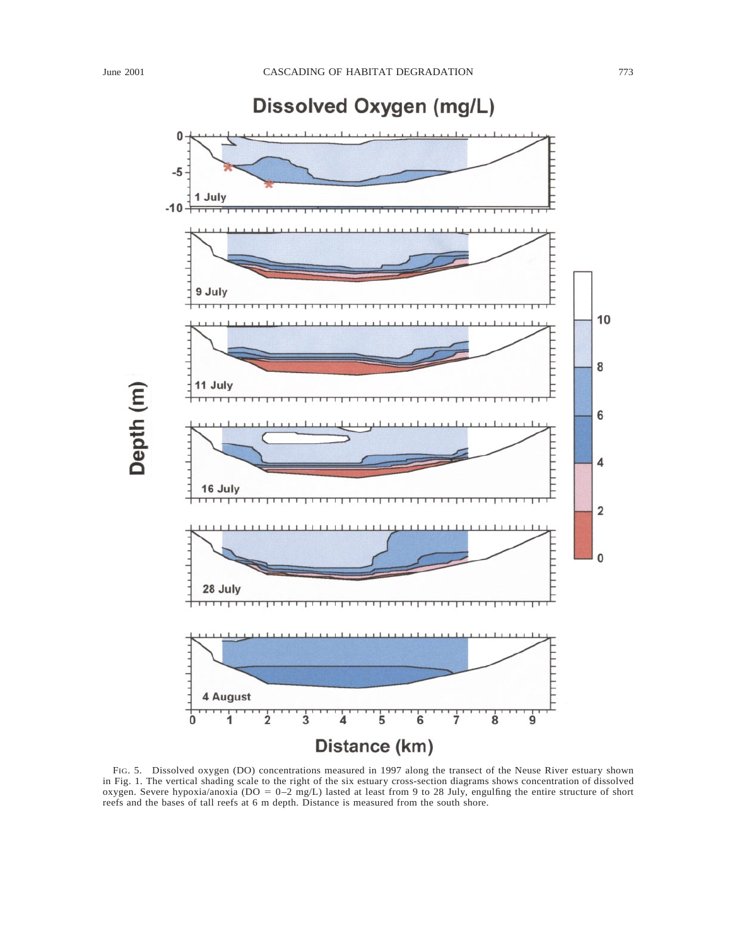

FIG. 5. Dissolved oxygen (DO) concentrations measured in 1997 along the transect of the Neuse River estuary shown in Fig. 1. The vertical shading scale to the right of the six estuary cross-section diagrams shows concentration of dissolved oxygen. Severe hypoxia/anoxia (DO =  $0-2$  mg/L) lasted at least from 9 to 28 July, engulfing the entire structure of short reefs and the bases of tall reefs at 6 m depth. Distance is measured from the south shore.

# Dissolved Oxygen (mg/L)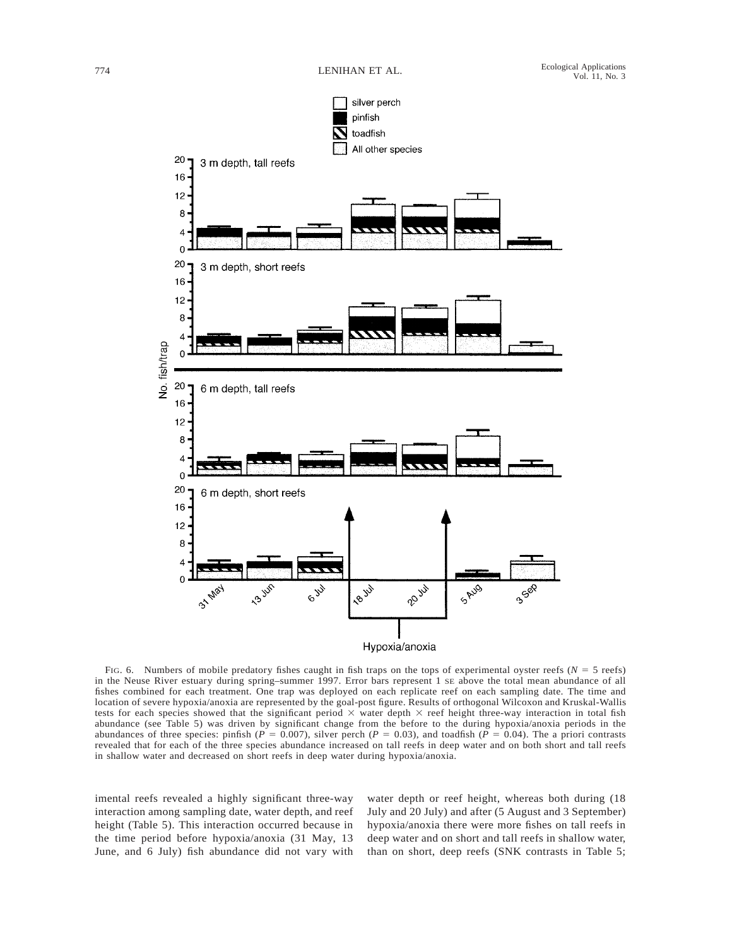

FIG. 6. Numbers of mobile predatory fishes caught in fish traps on the tops of experimental oyster reefs ( $N = 5$  reefs) in the Neuse River estuary during spring–summer 1997. Error bars represent 1 SE above the total mean abundance of all fishes combined for each treatment. One trap was deployed on each replicate reef on each sampling date. The time and location of severe hypoxia/anoxia are represented by the goal-post figure. Results of orthogonal Wilcoxon and Kruskal-Wallis tests for each species showed that the significant period  $\times$  water depth  $\times$  reef height three-way interaction in total fish abundance (see Table 5) was driven by significant change from the before to the during hypoxia/anoxia periods in the abundances of three species: pinfish ( $P = 0.007$ ), silver perch ( $P = 0.03$ ), and toadfish ( $P = 0.04$ ). The a priori contrasts revealed that for each of the three species abundance increased on tall reefs in deep water and on both short and tall reefs in shallow water and decreased on short reefs in deep water during hypoxia/anoxia.

imental reefs revealed a highly significant three-way interaction among sampling date, water depth, and reef height (Table 5). This interaction occurred because in the time period before hypoxia/anoxia (31 May, 13 June, and 6 July) fish abundance did not vary with

water depth or reef height, whereas both during (18 July and 20 July) and after (5 August and 3 September) hypoxia/anoxia there were more fishes on tall reefs in deep water and on short and tall reefs in shallow water, than on short, deep reefs (SNK contrasts in Table 5;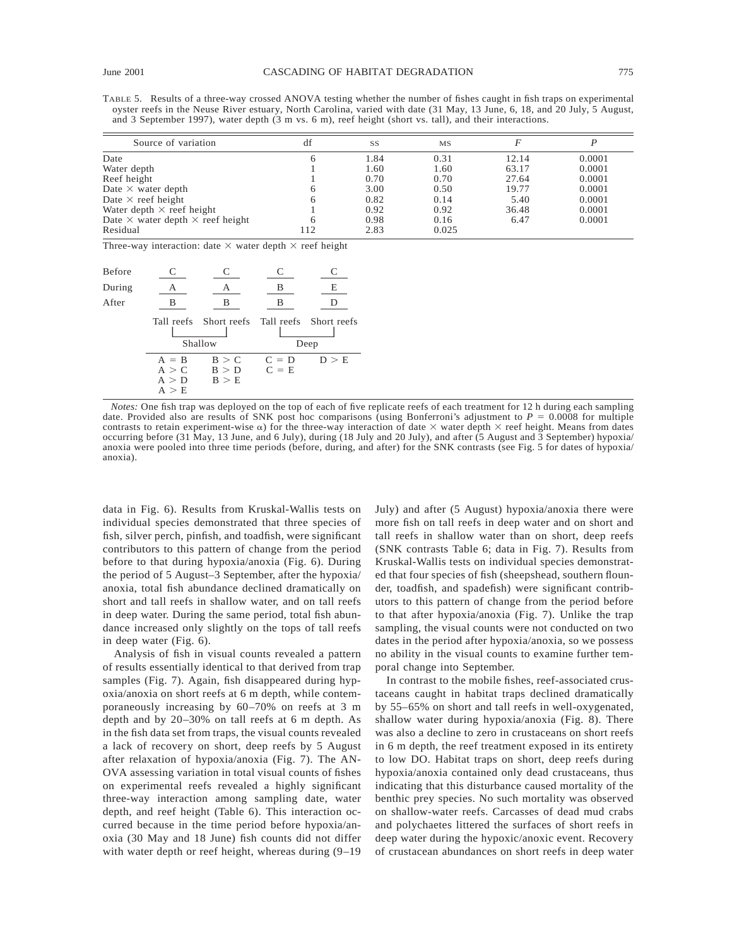TABLE 5. Results of a three-way crossed ANOVA testing whether the number of fishes caught in fish traps on experimental oyster reefs in the Neuse River estuary, North Carolina, varied with date (31 May, 13 June, 6, 18, and 20 July, 5 August, and 3 September 1997), water depth (3 m vs. 6 m), reef height (short vs. tall), and their interactions.

| Source of variation                            | df  | SS   | <b>MS</b> |       |        |
|------------------------------------------------|-----|------|-----------|-------|--------|
| Date                                           |     | 1.84 | 0.31      | 12.14 | 0.0001 |
| Water depth                                    |     | 1.60 | 1.60      | 63.17 | 0.0001 |
| Reef height                                    |     | 0.70 | 0.70      | 27.64 | 0.0001 |
| Date $\times$ water depth                      | 6   | 3.00 | 0.50      | 19.77 | 0.0001 |
| Date $\times$ reef height                      | 6   | 0.82 | 0.14      | 5.40  | 0.0001 |
| Water depth $\times$ reef height               |     | 0.92 | 0.92      | 36.48 | 0.0001 |
| Date $\times$ water depth $\times$ reef height | 6   | 0.98 | 0.16      | 6.47  | 0.0001 |
| Residual                                       | 112 | 2.83 | 0.025     |       |        |

Three-way interaction: date  $\times$  water depth  $\times$  reef height

| Before | C                                  | C                                             | €                  |       |  |  |
|--------|------------------------------------|-----------------------------------------------|--------------------|-------|--|--|
| During | А                                  | А                                             | В                  | E     |  |  |
| After  | B                                  | В                                             | В                  | D     |  |  |
|        |                                    | Tall reefs Short reefs Tall reefs Short reefs |                    |       |  |  |
|        |                                    | Shallow                                       | Deep               |       |  |  |
|        | $A = B$<br>A > C<br>A > D<br>A > E | B > C<br>B > D<br>B > E                       | $C = D$<br>$C = E$ | D > E |  |  |

*Notes:* One fish trap was deployed on the top of each of five replicate reefs of each treatment for 12 h during each sampling date. Provided also are results of SNK post hoc comparisons (using Bonferroni's adjustment to  $P = 0.0008$  for multiple contrasts to retain experiment-wise  $\alpha$ ) for the three-way interaction of date  $\times$  water depth  $\times$  reef height. Means from dates occurring before (31 May, 13 June, and 6 July), during (18 July and 20 July), and after (5 August and 3 September) hypoxia/ anoxia were pooled into three time periods (before, during, and after) for the SNK contrasts (see Fig. 5 for dates of hypoxia/ anoxia).

data in Fig. 6). Results from Kruskal-Wallis tests on individual species demonstrated that three species of fish, silver perch, pinfish, and toadfish, were significant contributors to this pattern of change from the period before to that during hypoxia/anoxia (Fig. 6). During the period of 5 August–3 September, after the hypoxia/ anoxia, total fish abundance declined dramatically on short and tall reefs in shallow water, and on tall reefs in deep water. During the same period, total fish abundance increased only slightly on the tops of tall reefs in deep water (Fig. 6).

Analysis of fish in visual counts revealed a pattern of results essentially identical to that derived from trap samples (Fig. 7). Again, fish disappeared during hypoxia/anoxia on short reefs at 6 m depth, while contemporaneously increasing by 60–70% on reefs at 3 m depth and by 20–30% on tall reefs at 6 m depth. As in the fish data set from traps, the visual counts revealed a lack of recovery on short, deep reefs by 5 August after relaxation of hypoxia/anoxia (Fig. 7). The AN-OVA assessing variation in total visual counts of fishes on experimental reefs revealed a highly significant three-way interaction among sampling date, water depth, and reef height (Table 6). This interaction occurred because in the time period before hypoxia/anoxia (30 May and 18 June) fish counts did not differ with water depth or reef height, whereas during  $(9-19)$ 

July) and after (5 August) hypoxia/anoxia there were more fish on tall reefs in deep water and on short and tall reefs in shallow water than on short, deep reefs (SNK contrasts Table 6; data in Fig. 7). Results from Kruskal-Wallis tests on individual species demonstrated that four species of fish (sheepshead, southern flounder, toadfish, and spadefish) were significant contributors to this pattern of change from the period before to that after hypoxia/anoxia (Fig. 7). Unlike the trap sampling, the visual counts were not conducted on two dates in the period after hypoxia/anoxia, so we possess no ability in the visual counts to examine further temporal change into September.

In contrast to the mobile fishes, reef-associated crustaceans caught in habitat traps declined dramatically by 55–65% on short and tall reefs in well-oxygenated, shallow water during hypoxia/anoxia (Fig. 8). There was also a decline to zero in crustaceans on short reefs in 6 m depth, the reef treatment exposed in its entirety to low DO. Habitat traps on short, deep reefs during hypoxia/anoxia contained only dead crustaceans, thus indicating that this disturbance caused mortality of the benthic prey species. No such mortality was observed on shallow-water reefs. Carcasses of dead mud crabs and polychaetes littered the surfaces of short reefs in deep water during the hypoxic/anoxic event. Recovery of crustacean abundances on short reefs in deep water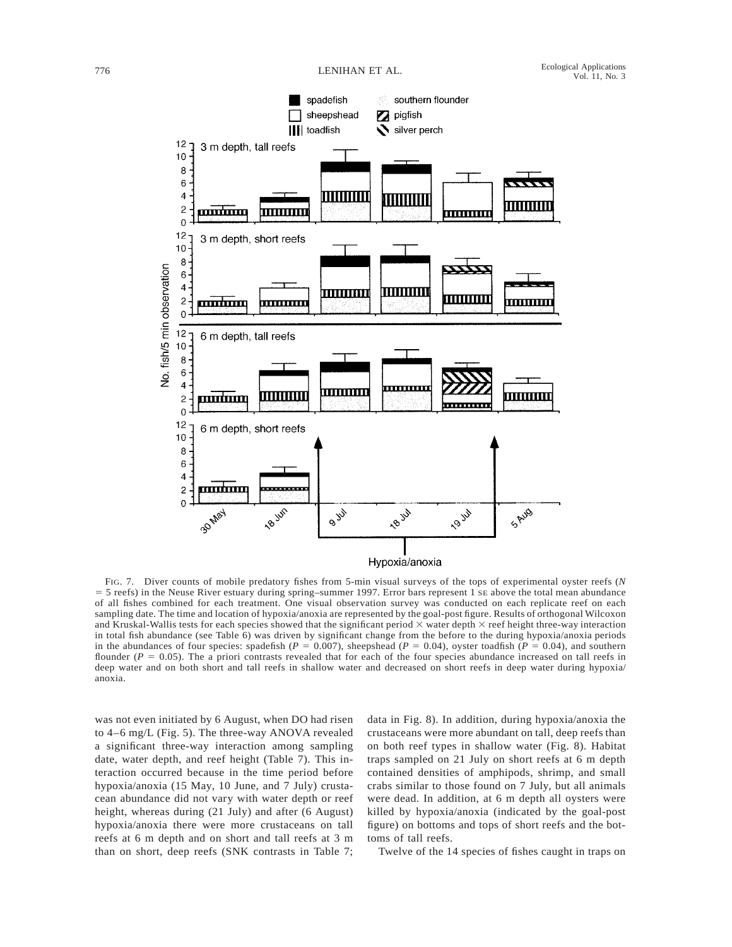

FIG. 7. Diver counts of mobile predatory fishes from 5-min visual surveys of the tops of experimental oyster reefs (*N* 5 5 reefs) in the Neuse River estuary during spring–summer 1997. Error bars represent 1 SE above the total mean abundance of all fishes combined for each treatment. One visual observation survey was conducted on each replicate reef on each sampling date. The time and location of hypoxia/anoxia are represented by the goal-post figure. Results of orthogonal Wilcoxon and Kruskal-Wallis tests for each species showed that the significant period  $\times$  water depth  $\times$  reef height three-way interaction in total fish abundance (see Table 6) was driven by significant change from the before to the during hypoxia/anoxia periods in the abundances of four species: spadefish ( $P = 0.007$ ), sheepshead ( $P = 0.04$ ), oyster toadfish ( $P = 0.04$ ), and southern flounder  $(P = 0.05)$ . The a priori contrasts revealed that for each of the four species abundance increased on tall reefs in deep water and on both short and tall reefs in shallow water and decreased on short reefs in deep water during hypoxia/ anoxia.

was not even initiated by 6 August, when DO had risen to 4–6 mg/L (Fig. 5). The three-way ANOVA revealed a significant three-way interaction among sampling date, water depth, and reef height (Table 7). This interaction occurred because in the time period before hypoxia/anoxia (15 May, 10 June, and 7 July) crustacean abundance did not vary with water depth or reef height, whereas during (21 July) and after (6 August) hypoxia/anoxia there were more crustaceans on tall reefs at 6 m depth and on short and tall reefs at 3 m than on short, deep reefs (SNK contrasts in Table 7; data in Fig. 8). In addition, during hypoxia/anoxia the crustaceans were more abundant on tall, deep reefs than on both reef types in shallow water (Fig. 8). Habitat traps sampled on 21 July on short reefs at 6 m depth contained densities of amphipods, shrimp, and small crabs similar to those found on 7 July, but all animals were dead. In addition, at 6 m depth all oysters were killed by hypoxia/anoxia (indicated by the goal-post figure) on bottoms and tops of short reefs and the bottoms of tall reefs.

Twelve of the 14 species of fishes caught in traps on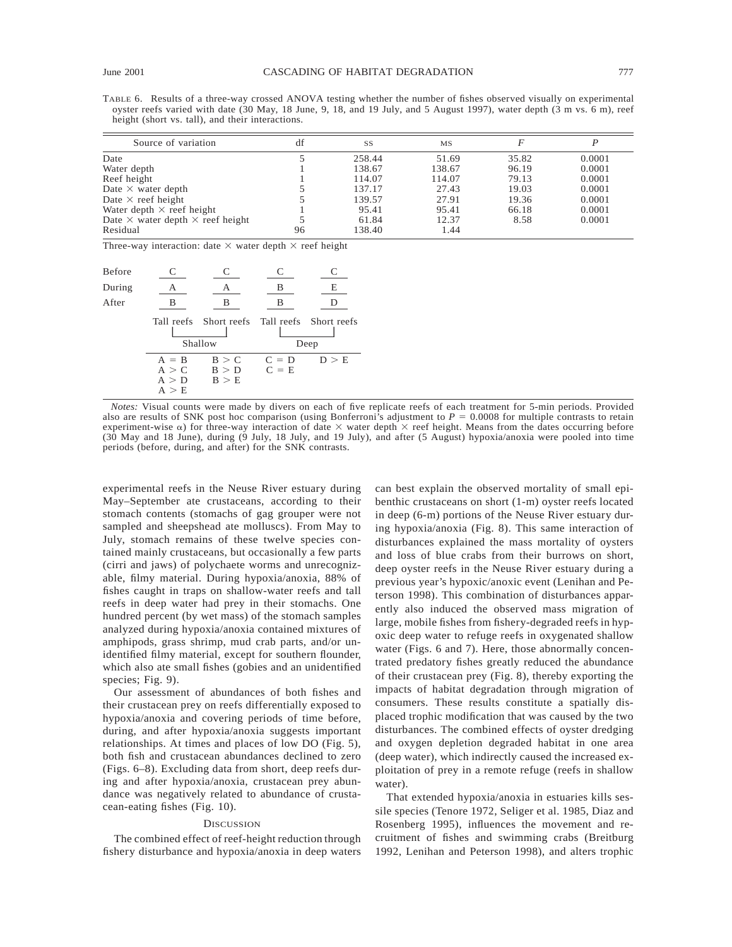| Source of variation                            | df | SS     | MS     |       |        |
|------------------------------------------------|----|--------|--------|-------|--------|
| Date                                           |    | 258.44 | 51.69  | 35.82 | 0.0001 |
| Water depth                                    |    | 138.67 | 138.67 | 96.19 | 0.0001 |
| Reef height                                    |    | 114.07 | 114.07 | 79.13 | 0.0001 |
| Date $\times$ water depth                      |    | 137.17 | 27.43  | 19.03 | 0.0001 |
| Date $\times$ reef height                      |    | 139.57 | 27.91  | 19.36 | 0.0001 |
| Water depth $\times$ reef height               |    | 95.41  | 95.41  | 66.18 | 0.0001 |
| Date $\times$ water depth $\times$ reef height |    | 61.84  | 12.37  | 8.58  | 0.0001 |
| Residual                                       | 96 | 138.40 | 1.44   |       |        |

Three-way interaction: date  $\times$  water depth  $\times$  reef height

| Before | C                                  | C                                             | C                  |       |  |  |
|--------|------------------------------------|-----------------------------------------------|--------------------|-------|--|--|
| During | А                                  | А                                             | В                  | E     |  |  |
| After  | В                                  | В                                             | В                  | D     |  |  |
|        |                                    | Tall reefs Short reefs Tall reefs Short reefs |                    |       |  |  |
|        |                                    | Shallow                                       | Deep               |       |  |  |
|        | $A = B$<br>A > C<br>A > D<br>A > E | B > C<br>B > D<br>B > E                       | $C = D$<br>$C = E$ | D > E |  |  |

*Notes:* Visual counts were made by divers on each of five replicate reefs of each treatment for 5-min periods. Provided also are results of SNK post hoc comparison (using Bonferroni<sup>5</sup>s adjustment to  $P = 0.0008$  for multiple contrasts to retain experiment-wise  $\alpha$ ) for three-way interaction of date  $\times$  water depth  $\times$  reef height. Means from the dates occurring before (30 May and 18 June), during (9 July, 18 July, and 19 July), and after (5 August) hypoxia/anoxia were pooled into time periods (before, during, and after) for the SNK contrasts.

experimental reefs in the Neuse River estuary during May–September ate crustaceans, according to their stomach contents (stomachs of gag grouper were not sampled and sheepshead ate molluscs). From May to July, stomach remains of these twelve species contained mainly crustaceans, but occasionally a few parts (cirri and jaws) of polychaete worms and unrecognizable, filmy material. During hypoxia/anoxia, 88% of fishes caught in traps on shallow-water reefs and tall reefs in deep water had prey in their stomachs. One hundred percent (by wet mass) of the stomach samples analyzed during hypoxia/anoxia contained mixtures of amphipods, grass shrimp, mud crab parts, and/or unidentified filmy material, except for southern flounder, which also ate small fishes (gobies and an unidentified species; Fig. 9).

Our assessment of abundances of both fishes and their crustacean prey on reefs differentially exposed to hypoxia/anoxia and covering periods of time before, during, and after hypoxia/anoxia suggests important relationships. At times and places of low DO (Fig. 5), both fish and crustacean abundances declined to zero (Figs. 6–8). Excluding data from short, deep reefs during and after hypoxia/anoxia, crustacean prey abundance was negatively related to abundance of crustacean-eating fishes (Fig. 10).

#### **DISCUSSION**

The combined effect of reef-height reduction through fishery disturbance and hypoxia/anoxia in deep waters

can best explain the observed mortality of small epibenthic crustaceans on short (1-m) oyster reefs located in deep (6-m) portions of the Neuse River estuary during hypoxia/anoxia (Fig. 8). This same interaction of disturbances explained the mass mortality of oysters and loss of blue crabs from their burrows on short, deep oyster reefs in the Neuse River estuary during a previous year's hypoxic/anoxic event (Lenihan and Peterson 1998). This combination of disturbances apparently also induced the observed mass migration of large, mobile fishes from fishery-degraded reefs in hypoxic deep water to refuge reefs in oxygenated shallow water (Figs. 6 and 7). Here, those abnormally concentrated predatory fishes greatly reduced the abundance of their crustacean prey (Fig. 8), thereby exporting the impacts of habitat degradation through migration of consumers. These results constitute a spatially displaced trophic modification that was caused by the two disturbances. The combined effects of oyster dredging and oxygen depletion degraded habitat in one area (deep water), which indirectly caused the increased exploitation of prey in a remote refuge (reefs in shallow water).

That extended hypoxia/anoxia in estuaries kills sessile species (Tenore 1972, Seliger et al. 1985, Diaz and Rosenberg 1995), influences the movement and recruitment of fishes and swimming crabs (Breitburg 1992, Lenihan and Peterson 1998), and alters trophic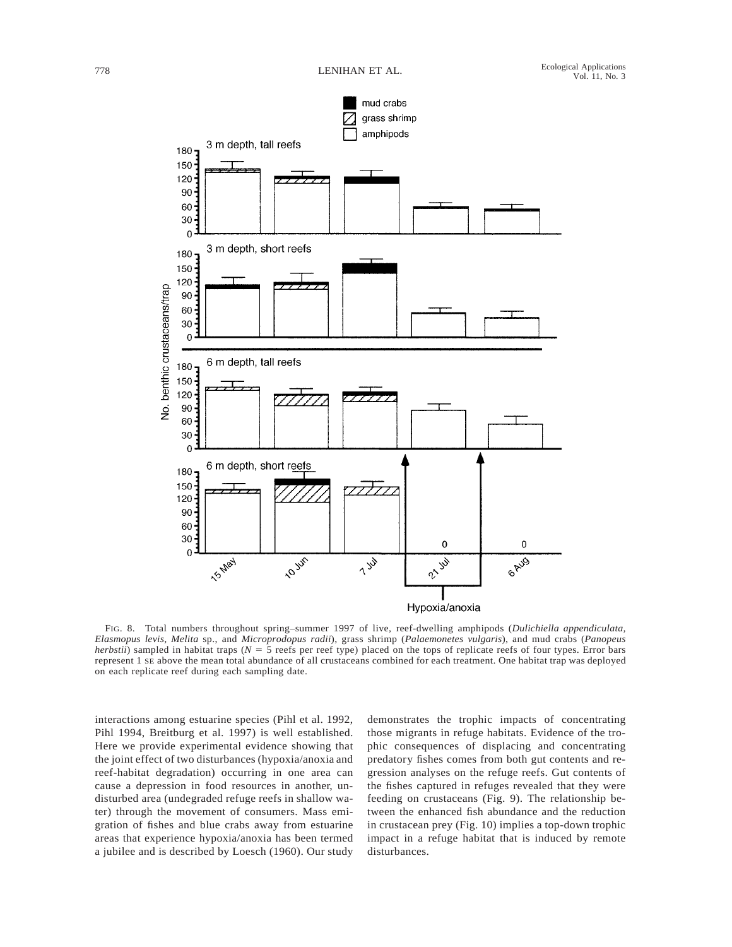

FIG. 8. Total numbers throughout spring–summer 1997 of live, reef-dwelling amphipods (*Dulichiella appendiculata, Elasmopus levis, Melita* sp., and *Microprodopus radii*), grass shrimp (*Palaemonetes vulgaris*), and mud crabs (*Panopeus herbstii*) sampled in habitat traps ( $N = 5$  reefs per reef type) placed on the tops of replicate reefs of four types. Error bars represent 1 SE above the mean total abundance of all crustaceans combined for each treatment. One habitat trap was deployed on each replicate reef during each sampling date.

interactions among estuarine species (Pihl et al. 1992, Pihl 1994, Breitburg et al. 1997) is well established. Here we provide experimental evidence showing that the joint effect of two disturbances (hypoxia/anoxia and reef-habitat degradation) occurring in one area can cause a depression in food resources in another, undisturbed area (undegraded refuge reefs in shallow water) through the movement of consumers. Mass emigration of fishes and blue crabs away from estuarine areas that experience hypoxia/anoxia has been termed a jubilee and is described by Loesch (1960). Our study demonstrates the trophic impacts of concentrating those migrants in refuge habitats. Evidence of the trophic consequences of displacing and concentrating predatory fishes comes from both gut contents and regression analyses on the refuge reefs. Gut contents of the fishes captured in refuges revealed that they were feeding on crustaceans (Fig. 9). The relationship between the enhanced fish abundance and the reduction in crustacean prey (Fig. 10) implies a top-down trophic impact in a refuge habitat that is induced by remote disturbances.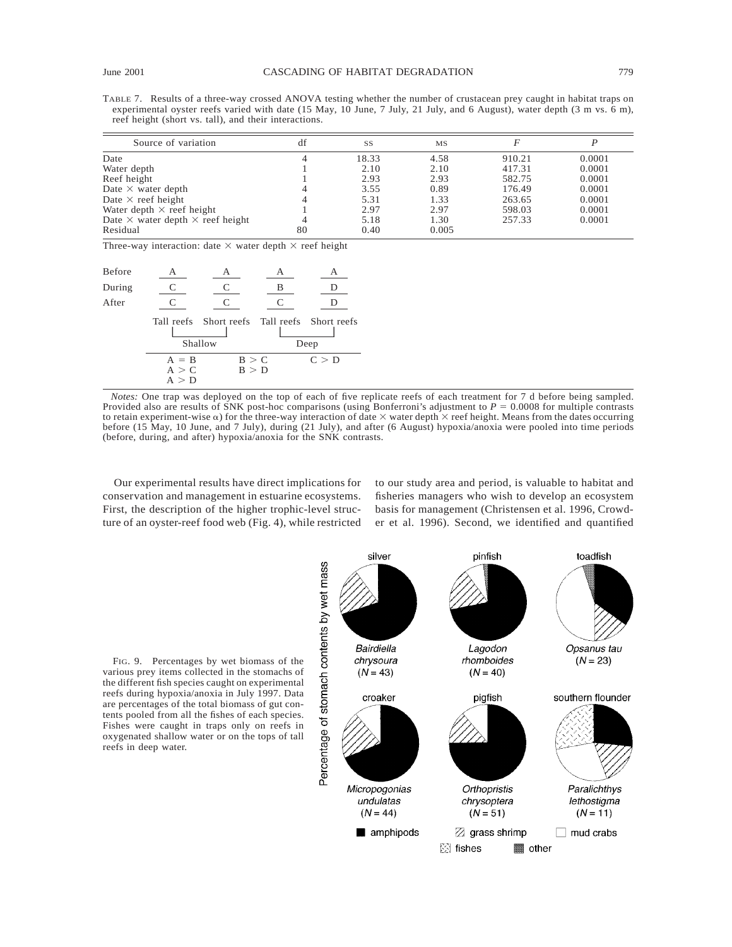TABLE 7. Results of a three-way crossed ANOVA testing whether the number of crustacean prey caught in habitat traps on experimental oyster reefs varied with date (15 May, 10 June, 7 July, 21 July, and 6 August), water depth (3 m vs. 6 m), reef height (short vs. tall), and their interactions.

| Source of variation                            | df | SS    | <b>MS</b> |        |        |
|------------------------------------------------|----|-------|-----------|--------|--------|
| Date                                           | 4  | 18.33 | 4.58      | 910.21 | 0.0001 |
| Water depth                                    |    | 2.10  | 2.10      | 417.31 | 0.0001 |
| Reef height                                    |    | 2.93  | 2.93      | 582.75 | 0.0001 |
| Date $\times$ water depth                      | 4  | 3.55  | 0.89      | 176.49 | 0.0001 |
| Date $\times$ reef height                      | 4  | 5.31  | 1.33      | 263.65 | 0.0001 |
| Water depth $\times$ reef height               |    | 2.97  | 2.97      | 598.03 | 0.0001 |
| Date $\times$ water depth $\times$ reef height | 4  | 5.18  | 1.30      | 257.33 | 0.0001 |
| Residual                                       | 80 | 0.40  | 0.005     |        |        |

Three-way interaction: date  $\times$  water depth  $\times$  reef height

| Before | А                         | А                                                        | А | А     |
|--------|---------------------------|----------------------------------------------------------|---|-------|
| During | C                         | C                                                        | В | D     |
| After  | C                         | C                                                        | C | Ð     |
|        |                           | Tall reefs Short reefs Tall reefs Short reefs<br>Shallow |   | Deep  |
|        | $A = B$<br>A > C<br>A > D | B > C<br>B > D                                           |   | C > D |

*Notes:* One trap was deployed on the top of each of five replicate reefs of each treatment for 7 d before being sampled. Provided also are results of SNK post-hoc comparisons (using Bonferroni's adjustment to  $P = 0.0008$  for multiple contrasts to retain experiment-wise  $\alpha$ ) for the three-way interaction of date  $\times$  water depth  $\times$  reef height. Means from the dates occurring before (15 May, 10 June, and 7 July), during (21 July), and after (6 August) hypoxia/anoxia were pooled into time periods (before, during, and after) hypoxia/anoxia for the SNK contrasts.

Our experimental results have direct implications for conservation and management in estuarine ecosystems. First, the description of the higher trophic-level structure of an oyster-reef food web (Fig. 4), while restricted

to our study area and period, is valuable to habitat and fisheries managers who wish to develop an ecosystem basis for management (Christensen et al. 1996, Crowder et al. 1996). Second, we identified and quantified

FIG. 9. Percentages by wet biomass of the various prey items collected in the stomachs of the different fish species caught on experimental reefs during hypoxia/anoxia in July 1997. Data are percentages of the total biomass of gut contents pooled from all the fishes of each species. Fishes were caught in traps only on reefs in oxygenated shallow water or on the tops of tall reefs in deep water.

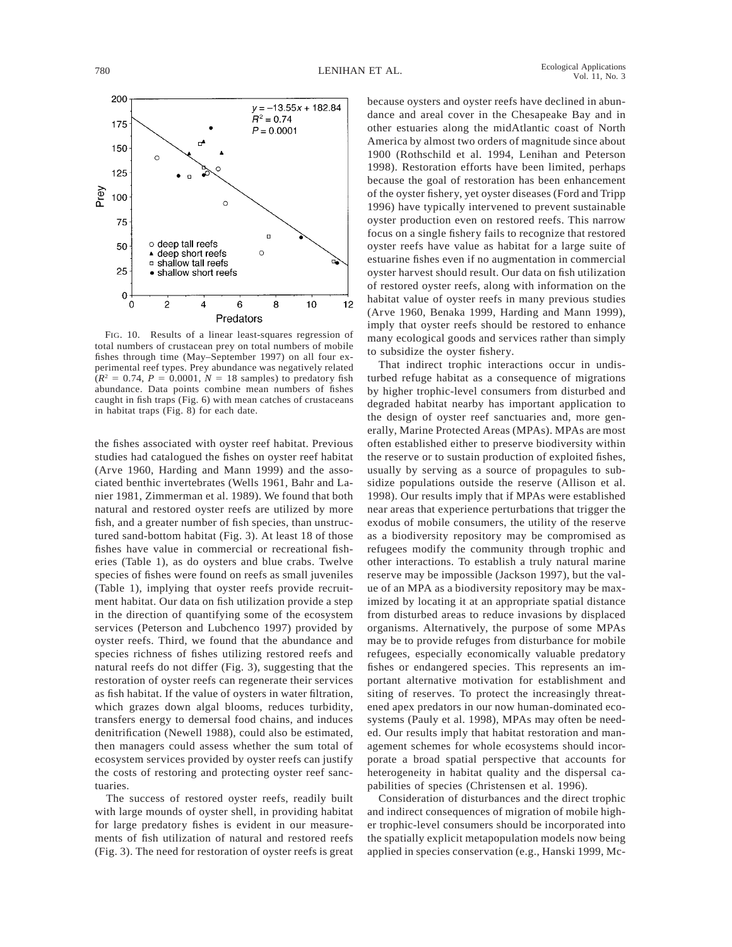

FIG. 10. Results of a linear least-squares regression of total numbers of crustacean prey on total numbers of mobile fishes through time (May–September 1997) on all four experimental reef types. Prey abundance was negatively related  $(R^2 = 0.74, P = 0.0001, N = 18$  samples) to predatory fish abundance. Data points combine mean numbers of fishes caught in fish traps (Fig. 6) with mean catches of crustaceans in habitat traps (Fig. 8) for each date.

the fishes associated with oyster reef habitat. Previous studies had catalogued the fishes on oyster reef habitat (Arve 1960, Harding and Mann 1999) and the associated benthic invertebrates (Wells 1961, Bahr and Lanier 1981, Zimmerman et al. 1989). We found that both natural and restored oyster reefs are utilized by more fish, and a greater number of fish species, than unstructured sand-bottom habitat (Fig. 3). At least 18 of those fishes have value in commercial or recreational fisheries (Table 1), as do oysters and blue crabs. Twelve species of fishes were found on reefs as small juveniles (Table 1), implying that oyster reefs provide recruitment habitat. Our data on fish utilization provide a step in the direction of quantifying some of the ecosystem services (Peterson and Lubchenco 1997) provided by oyster reefs. Third, we found that the abundance and species richness of fishes utilizing restored reefs and natural reefs do not differ (Fig. 3), suggesting that the restoration of oyster reefs can regenerate their services as fish habitat. If the value of oysters in water filtration, which grazes down algal blooms, reduces turbidity, transfers energy to demersal food chains, and induces denitrification (Newell 1988), could also be estimated, then managers could assess whether the sum total of ecosystem services provided by oyster reefs can justify the costs of restoring and protecting oyster reef sanctuaries.

The success of restored oyster reefs, readily built with large mounds of oyster shell, in providing habitat for large predatory fishes is evident in our measurements of fish utilization of natural and restored reefs (Fig. 3). The need for restoration of oyster reefs is great because oysters and oyster reefs have declined in abundance and areal cover in the Chesapeake Bay and in other estuaries along the midAtlantic coast of North America by almost two orders of magnitude since about 1900 (Rothschild et al. 1994, Lenihan and Peterson 1998). Restoration efforts have been limited, perhaps because the goal of restoration has been enhancement of the oyster fishery, yet oyster diseases (Ford and Tripp 1996) have typically intervened to prevent sustainable oyster production even on restored reefs. This narrow focus on a single fishery fails to recognize that restored oyster reefs have value as habitat for a large suite of estuarine fishes even if no augmentation in commercial oyster harvest should result. Our data on fish utilization of restored oyster reefs, along with information on the habitat value of oyster reefs in many previous studies (Arve 1960, Benaka 1999, Harding and Mann 1999), imply that oyster reefs should be restored to enhance many ecological goods and services rather than simply to subsidize the oyster fishery.

That indirect trophic interactions occur in undisturbed refuge habitat as a consequence of migrations by higher trophic-level consumers from disturbed and degraded habitat nearby has important application to the design of oyster reef sanctuaries and, more generally, Marine Protected Areas (MPAs). MPAs are most often established either to preserve biodiversity within the reserve or to sustain production of exploited fishes, usually by serving as a source of propagules to subsidize populations outside the reserve (Allison et al. 1998). Our results imply that if MPAs were established near areas that experience perturbations that trigger the exodus of mobile consumers, the utility of the reserve as a biodiversity repository may be compromised as refugees modify the community through trophic and other interactions. To establish a truly natural marine reserve may be impossible (Jackson 1997), but the value of an MPA as a biodiversity repository may be maximized by locating it at an appropriate spatial distance from disturbed areas to reduce invasions by displaced organisms. Alternatively, the purpose of some MPAs may be to provide refuges from disturbance for mobile refugees, especially economically valuable predatory fishes or endangered species. This represents an important alternative motivation for establishment and siting of reserves. To protect the increasingly threatened apex predators in our now human-dominated ecosystems (Pauly et al. 1998), MPAs may often be needed. Our results imply that habitat restoration and management schemes for whole ecosystems should incorporate a broad spatial perspective that accounts for heterogeneity in habitat quality and the dispersal capabilities of species (Christensen et al. 1996).

Consideration of disturbances and the direct trophic and indirect consequences of migration of mobile higher trophic-level consumers should be incorporated into the spatially explicit metapopulation models now being applied in species conservation (e.g., Hanski 1999, Mc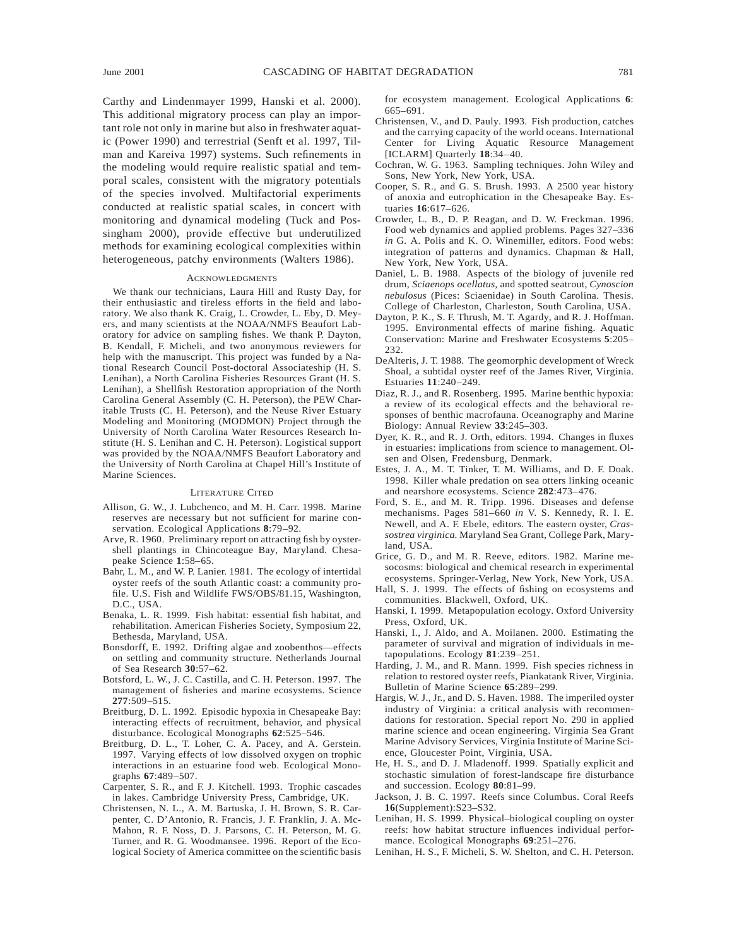Carthy and Lindenmayer 1999, Hanski et al. 2000). This additional migratory process can play an important role not only in marine but also in freshwater aquatic (Power 1990) and terrestrial (Senft et al. 1997, Tilman and Kareiva 1997) systems. Such refinements in the modeling would require realistic spatial and temporal scales, consistent with the migratory potentials of the species involved. Multifactorial experiments conducted at realistic spatial scales, in concert with monitoring and dynamical modeling (Tuck and Possingham 2000), provide effective but underutilized methods for examining ecological complexities within heterogeneous, patchy environments (Walters 1986).

#### ACKNOWLEDGMENTS

We thank our technicians, Laura Hill and Rusty Day, for their enthusiastic and tireless efforts in the field and laboratory. We also thank K. Craig, L. Crowder, L. Eby, D. Meyers, and many scientists at the NOAA/NMFS Beaufort Laboratory for advice on sampling fishes. We thank P. Dayton, B. Kendall, F. Micheli, and two anonymous reviewers for help with the manuscript. This project was funded by a National Research Council Post-doctoral Associateship (H. S. Lenihan), a North Carolina Fisheries Resources Grant (H. S. Lenihan), a Shellfish Restoration appropriation of the North Carolina General Assembly (C. H. Peterson), the PEW Charitable Trusts (C. H. Peterson), and the Neuse River Estuary Modeling and Monitoring (MODMON) Project through the University of North Carolina Water Resources Research Institute (H. S. Lenihan and C. H. Peterson). Logistical support was provided by the NOAA/NMFS Beaufort Laboratory and the University of North Carolina at Chapel Hill's Institute of Marine Sciences.

#### LITERATURE CITED

- Allison, G. W., J. Lubchenco, and M. H. Carr. 1998. Marine reserves are necessary but not sufficient for marine conservation. Ecological Applications **8**:79–92.
- Arve, R. 1960. Preliminary report on attracting fish by oystershell plantings in Chincoteague Bay, Maryland. Chesapeake Science **1**:58–65.
- Bahr, L. M., and W. P. Lanier. 1981. The ecology of intertidal oyster reefs of the south Atlantic coast: a community profile. U.S. Fish and Wildlife FWS/OBS/81.15, Washington, D.C., USA.
- Benaka, L. R. 1999. Fish habitat: essential fish habitat, and rehabilitation. American Fisheries Society, Symposium 22, Bethesda, Maryland, USA.
- Bonsdorff, E. 1992. Drifting algae and zoobenthos—effects on settling and community structure. Netherlands Journal of Sea Research **30**:57–62.
- Botsford, L. W., J. C. Castilla, and C. H. Peterson. 1997. The management of fisheries and marine ecosystems. Science **277**:509–515.
- Breitburg, D. L. 1992. Episodic hypoxia in Chesapeake Bay: interacting effects of recruitment, behavior, and physical disturbance. Ecological Monographs **62**:525–546.
- Breitburg, D. L., T. Loher, C. A. Pacey, and A. Gerstein. 1997. Varying effects of low dissolved oxygen on trophic interactions in an estuarine food web. Ecological Monographs **67**:489–507.
- Carpenter, S. R., and F. J. Kitchell. 1993. Trophic cascades in lakes. Cambridge University Press, Cambridge, UK.
- Christensen, N. L., A. M. Bartuska, J. H. Brown, S. R. Carpenter, C. D'Antonio, R. Francis, J. F. Franklin, J. A. Mc-Mahon, R. F. Noss, D. J. Parsons, C. H. Peterson, M. G. Turner, and R. G. Woodmansee. 1996. Report of the Ecological Society of America committee on the scientific basis

for ecosystem management. Ecological Applications **6**: 665–691.

- Christensen, V., and D. Pauly. 1993. Fish production, catches and the carrying capacity of the world oceans. International Center for Living Aquatic Resource Management [ICLARM] Quarterly **18**:34–40.
- Cochran, W. G. 1963. Sampling techniques. John Wiley and Sons, New York, New York, USA.
- Cooper, S. R., and G. S. Brush. 1993. A 2500 year history of anoxia and eutrophication in the Chesapeake Bay. Estuaries **16**:617–626.
- Crowder, L. B., D. P. Reagan, and D. W. Freckman. 1996. Food web dynamics and applied problems. Pages 327–336 *in* G. A. Polis and K. O. Winemiller, editors. Food webs: integration of patterns and dynamics. Chapman & Hall, New York, New York, USA.
- Daniel, L. B. 1988. Aspects of the biology of juvenile red drum, *Sciaenops ocellatus,* and spotted seatrout, *Cynoscion nebulosus* (Pices: Sciaenidae) in South Carolina. Thesis. College of Charleston, Charleston, South Carolina, USA.
- Dayton, P. K., S. F. Thrush, M. T. Agardy, and R. J. Hoffman. 1995. Environmental effects of marine fishing. Aquatic Conservation: Marine and Freshwater Ecosystems **5**:205– 232.
- DeAlteris, J. T. 1988. The geomorphic development of Wreck Shoal, a subtidal oyster reef of the James River, Virginia. Estuaries **11**:240–249.
- Diaz, R. J., and R. Rosenberg. 1995. Marine benthic hypoxia: a review of its ecological effects and the behavioral responses of benthic macrofauna. Oceanography and Marine Biology: Annual Review **33**:245–303.
- Dyer, K. R., and R. J. Orth, editors. 1994. Changes in fluxes in estuaries: implications from science to management. Olsen and Olsen, Fredensburg, Denmark.
- Estes, J. A., M. T. Tinker, T. M. Williams, and D. F. Doak. 1998. Killer whale predation on sea otters linking oceanic and nearshore ecosystems. Science **282**:473–476.
- Ford, S. E., and M. R. Tripp. 1996. Diseases and defense mechanisms. Pages 581–660 *in* V. S. Kennedy, R. I. E. Newell, and A. F. Ebele, editors. The eastern oyster, *Crassostrea virginica.* Maryland Sea Grant, College Park, Maryland, USA.
- Grice, G. D., and M. R. Reeve, editors. 1982. Marine mesocosms: biological and chemical research in experimental ecosystems. Springer-Verlag, New York, New York, USA.
- Hall, S. J. 1999. The effects of fishing on ecosystems and communities. Blackwell, Oxford, UK.
- Hanski, I. 1999. Metapopulation ecology. Oxford University Press, Oxford, UK.
- Hanski, I., J. Aldo, and A. Moilanen. 2000. Estimating the parameter of survival and migration of individuals in metapopulations. Ecology **81**:239–251.
- Harding, J. M., and R. Mann. 1999. Fish species richness in relation to restored oyster reefs, Piankatank River, Virginia. Bulletin of Marine Science **65**:289–299.
- Hargis, W. J., Jr., and D. S. Haven. 1988. The imperiled oyster industry of Virginia: a critical analysis with recommendations for restoration. Special report No. 290 in applied marine science and ocean engineering. Virginia Sea Grant Marine Advisory Services, Virginia Institute of Marine Science, Gloucester Point, Virginia, USA.
- He, H. S., and D. J. Mladenoff. 1999. Spatially explicit and stochastic simulation of forest-landscape fire disturbance and succession. Ecology **80**:81–99.
- Jackson, J. B. C. 1997. Reefs since Columbus. Coral Reefs **16**(Supplement):S23–S32.
- Lenihan, H. S. 1999. Physical–biological coupling on oyster reefs: how habitat structure influences individual performance. Ecological Monographs **69**:251–276.
- Lenihan, H. S., F. Micheli, S. W. Shelton, and C. H. Peterson.